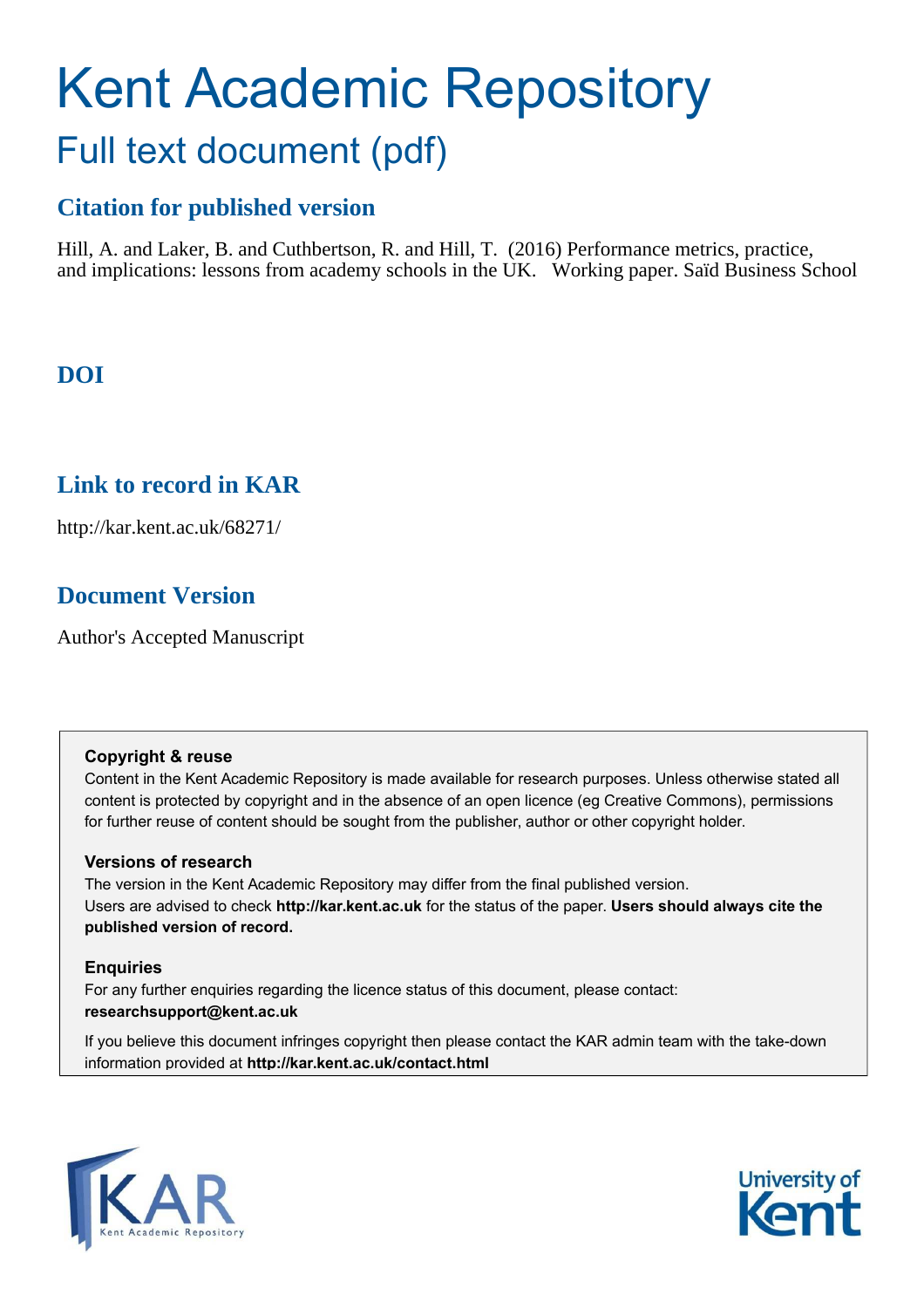# Kent Academic Repository Full text document (pdf)

# **Citation for published version**

Hill, A. and Laker, B. and Cuthbertson, R. and Hill, T. (2016) Performance metrics, practice, and implications: lessons from academy schools in the UK. Working paper. Saïd Business School

# **DOI**

# **Link to record in KAR**

http://kar.kent.ac.uk/68271/

# **Document Version**

Author's Accepted Manuscript

#### **Copyright & reuse**

Content in the Kent Academic Repository is made available for research purposes. Unless otherwise stated all content is protected by copyright and in the absence of an open licence (eg Creative Commons), permissions for further reuse of content should be sought from the publisher, author or other copyright holder.

#### **Versions of research**

The version in the Kent Academic Repository may differ from the final published version. Users are advised to check **http://kar.kent.ac.uk** for the status of the paper. **Users should always cite the published version of record.**

#### **Enquiries**

For any further enquiries regarding the licence status of this document, please contact: **researchsupport@kent.ac.uk**

If you believe this document infringes copyright then please contact the KAR admin team with the take-down information provided at **http://kar.kent.ac.uk/contact.html**



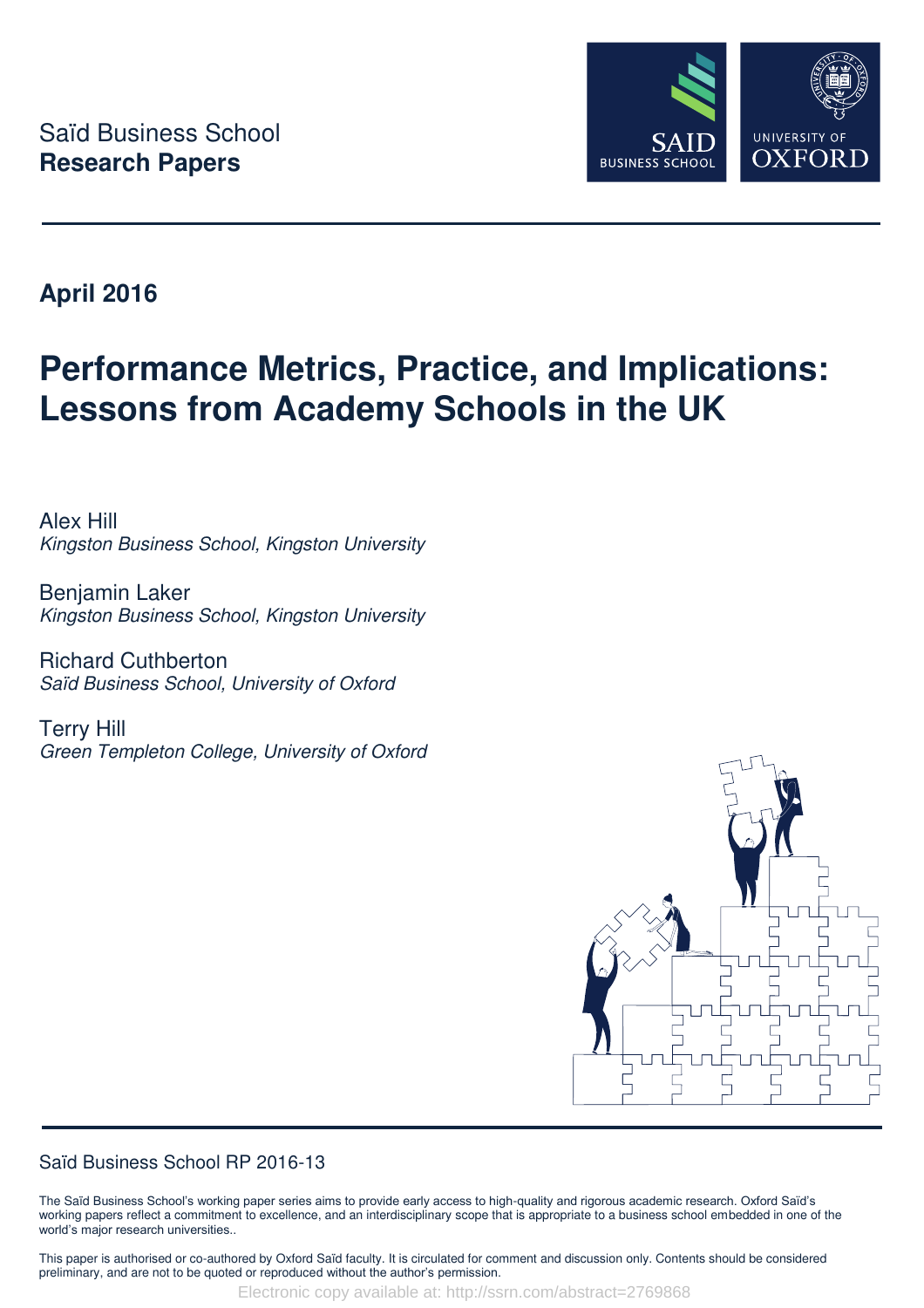

# **April 2016**

# **Performance Metrics, Practice, and Implications: Lessons from Academy Schools in the UK**

Alex Hill *Kingston Business School, Kingston University* 

Benjamin Laker *Kingston Business School, Kingston University* 

Richard Cuthberton *Saïd Business School, University of Oxford* 

Terry Hill *Green Templeton College, University of Oxford* 



#### Saïd Business School RP 2016-13

The Saïd Business School's working paper series aims to provide early access to high-quality and rigorous academic research. Oxford Saïd's working papers reflect a commitment to excellence, and an interdisciplinary scope that is appropriate to a business school embedded in one of the world's major research universities..

This paper is authorised or co-authored by Oxford Saïd faculty. It is circulated for comment and discussion only. Contents should be considered preliminary, and are not to be quoted or reproduced without the author's permission.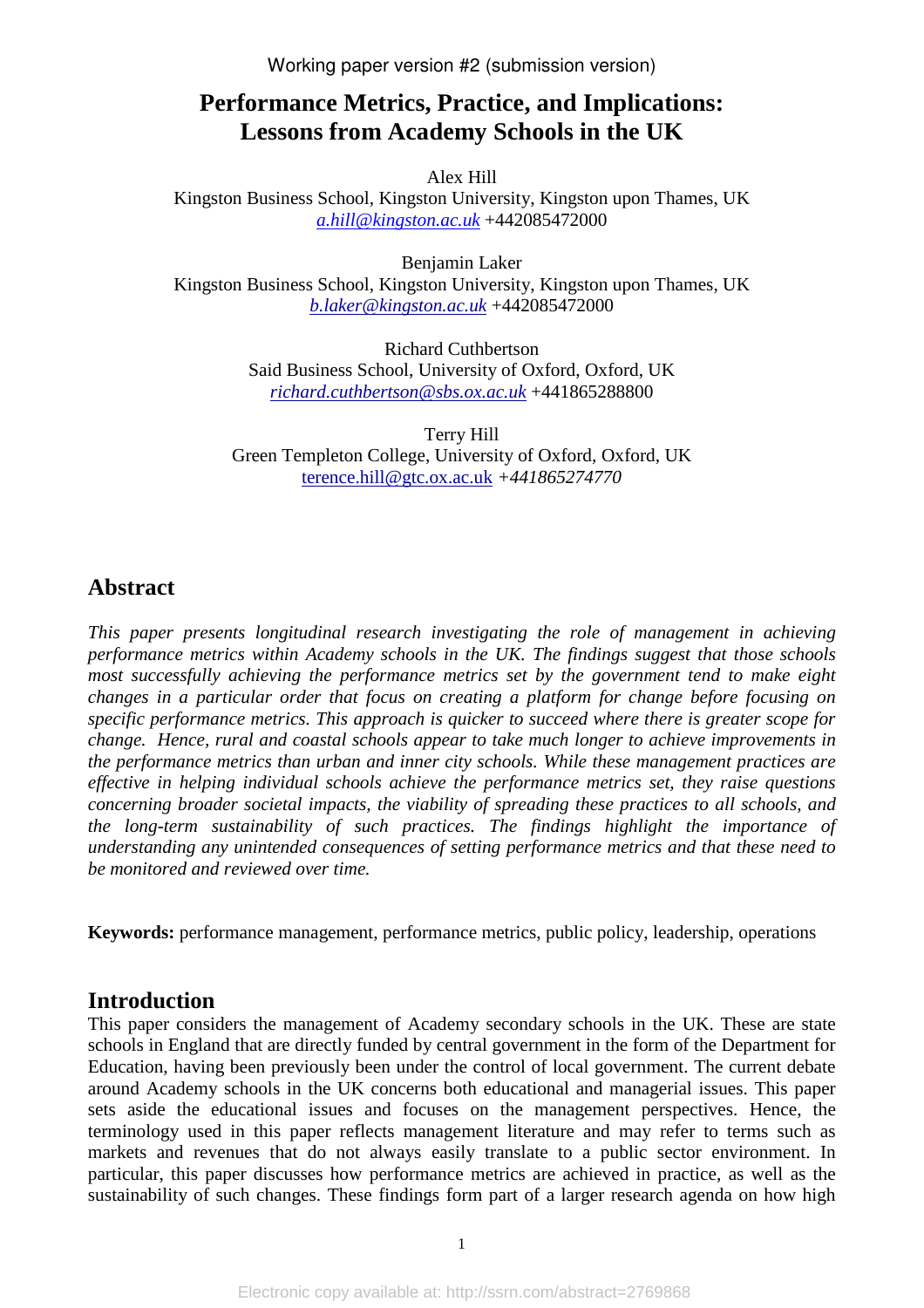# **Performance Metrics, Practice, and Implications: Lessons from Academy Schools in the UK**

Alex Hill

Kingston Business School, Kingston University, Kingston upon Thames, UK *[a.hill@kingston.ac.uk](mailto:a.hill@kingston.ac.uk)* +442085472000

Benjamin Laker Kingston Business School, Kingston University, Kingston upon Thames, UK *[b.laker@kingston.ac.uk](mailto:b.laker@kingston.ac.uk)* +442085472000

> Richard Cuthbertson Said Business School, University of Oxford, Oxford, UK *[richard.cuthbertson@sbs.ox.ac.uk](mailto:richard.cuthbertson@sbs.ox.ac.uk)* +441865288800

Terry Hill Green Templeton College, University of Oxford, Oxford, UK [terence.hill@gtc.ox.ac.uk](mailto:terence.hill@gtc.ox.ac.uk) *+441865274770*

#### **Abstract**

*This paper presents longitudinal research investigating the role of management in achieving performance metrics within Academy schools in the UK. The findings suggest that those schools most successfully achieving the performance metrics set by the government tend to make eight changes in a particular order that focus on creating a platform for change before focusing on specific performance metrics. This approach is quicker to succeed where there is greater scope for change. Hence, rural and coastal schools appear to take much longer to achieve improvements in the performance metrics than urban and inner city schools. While these management practices are effective in helping individual schools achieve the performance metrics set, they raise questions concerning broader societal impacts, the viability of spreading these practices to all schools, and the long-term sustainability of such practices. The findings highlight the importance of understanding any unintended consequences of setting performance metrics and that these need to be monitored and reviewed over time.* 

**Keywords:** performance management, performance metrics, public policy, leadership, operations

#### **Introduction**

This paper considers the management of Academy secondary schools in the UK. These are state schools in England that are directly funded by central government in the form of the Department for Education, having been previously been under the control of local government. The current debate around Academy schools in the UK concerns both educational and managerial issues. This paper sets aside the educational issues and focuses on the management perspectives. Hence, the terminology used in this paper reflects management literature and may refer to terms such as markets and revenues that do not always easily translate to a public sector environment. In particular, this paper discusses how performance metrics are achieved in practice, as well as the sustainability of such changes. These findings form part of a larger research agenda on how high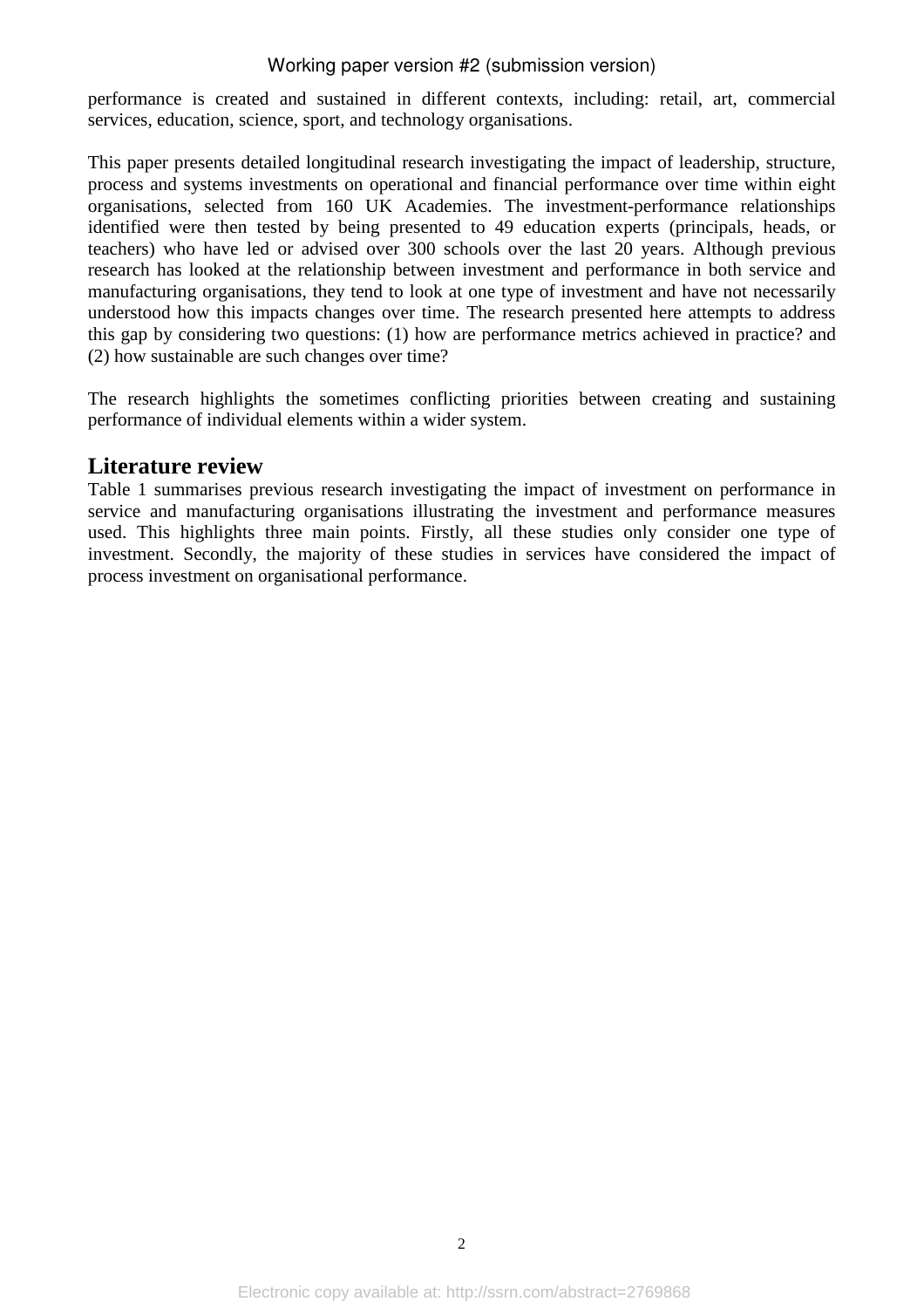performance is created and sustained in different contexts, including: retail, art, commercial services, education, science, sport, and technology organisations.

This paper presents detailed longitudinal research investigating the impact of leadership, structure, process and systems investments on operational and financial performance over time within eight organisations, selected from 160 UK Academies. The investment-performance relationships identified were then tested by being presented to 49 education experts (principals, heads, or teachers) who have led or advised over 300 schools over the last 20 years. Although previous research has looked at the relationship between investment and performance in both service and manufacturing organisations, they tend to look at one type of investment and have not necessarily understood how this impacts changes over time. The research presented here attempts to address this gap by considering two questions: (1) how are performance metrics achieved in practice? and (2) how sustainable are such changes over time?

The research highlights the sometimes conflicting priorities between creating and sustaining performance of individual elements within a wider system.

#### **Literature review**

Table 1 summarises previous research investigating the impact of investment on performance in service and manufacturing organisations illustrating the investment and performance measures used. This highlights three main points. Firstly, all these studies only consider one type of investment. Secondly, the majority of these studies in services have considered the impact of process investment on organisational performance.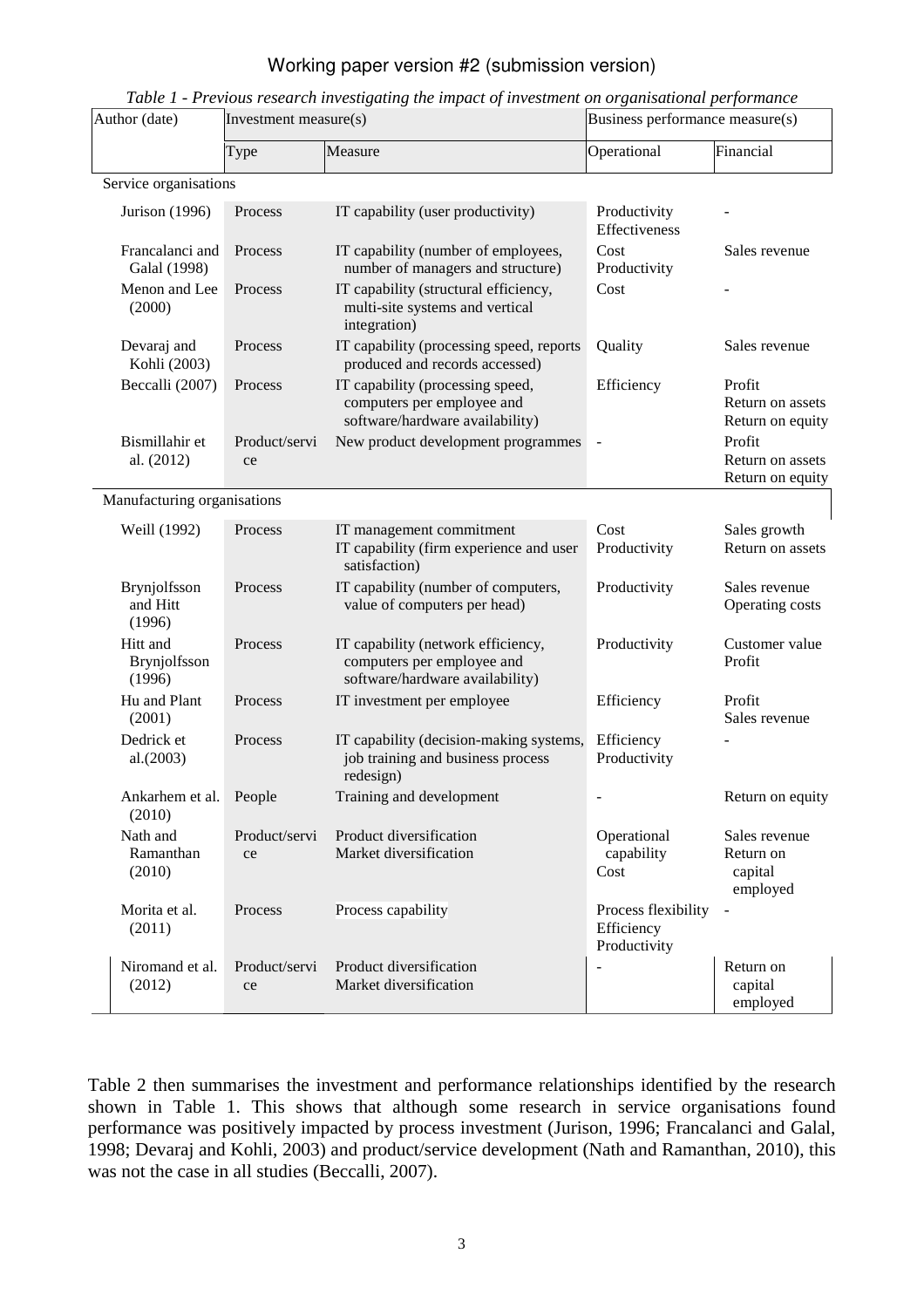| Author (date)                      | Investment measure(s) | I revious research investigating the impact of investment on organisational performance             | Business performance measure(s)                   |                                                   |  |  |
|------------------------------------|-----------------------|-----------------------------------------------------------------------------------------------------|---------------------------------------------------|---------------------------------------------------|--|--|
|                                    | Type                  | Measure                                                                                             | Operational                                       | Financial                                         |  |  |
| Service organisations              |                       |                                                                                                     |                                                   |                                                   |  |  |
| Jurison (1996)                     | Process               | IT capability (user productivity)                                                                   | Productivity<br>Effectiveness                     |                                                   |  |  |
| Francalanci and<br>Galal (1998)    | Process               | IT capability (number of employees,<br>number of managers and structure)                            | Cost<br>Productivity                              | Sales revenue                                     |  |  |
| Menon and Lee<br>(2000)            | Process               | IT capability (structural efficiency,<br>multi-site systems and vertical<br>integration)            | Cost                                              |                                                   |  |  |
| Devaraj and<br>Kohli (2003)        | Process               | IT capability (processing speed, reports<br>produced and records accessed)                          | Quality                                           | Sales revenue                                     |  |  |
| Beccalli (2007)                    | Process               | IT capability (processing speed,<br>computers per employee and<br>software/hardware availability)   | Efficiency                                        | Profit<br>Return on assets<br>Return on equity    |  |  |
| Bismillahir et<br>al. (2012)       | Product/servi<br>ce   | New product development programmes                                                                  |                                                   | Profit<br>Return on assets<br>Return on equity    |  |  |
| Manufacturing organisations        |                       |                                                                                                     |                                                   |                                                   |  |  |
| Weill (1992)                       | Process               | IT management commitment<br>IT capability (firm experience and user<br>satisfaction)                | Cost<br>Productivity                              | Sales growth<br>Return on assets                  |  |  |
| Brynjolfsson<br>and Hitt<br>(1996) | Process               | IT capability (number of computers,<br>value of computers per head)                                 | Productivity                                      | Sales revenue<br>Operating costs                  |  |  |
| Hitt and<br>Brynjolfsson<br>(1996) | Process               | IT capability (network efficiency,<br>computers per employee and<br>software/hardware availability) | Productivity                                      | Customer value<br>Profit                          |  |  |
| Hu and Plant<br>(2001)             | Process               | IT investment per employee                                                                          | Efficiency                                        | Profit<br>Sales revenue                           |  |  |
| Dedrick et<br>al.(2003)            | Process               | IT capability (decision-making systems,<br>job training and business process<br>redesign)           | Efficiency<br>Productivity                        |                                                   |  |  |
| Ankarhem et al. People<br>(2010)   |                       | Training and development                                                                            |                                                   | Return on equity                                  |  |  |
| Nath and<br>Ramanthan<br>(2010)    | Product/servi<br>ce   | Product diversification<br>Market diversification                                                   | Operational<br>capability<br>Cost                 | Sales revenue<br>Return on<br>capital<br>employed |  |  |
| Morita et al.<br>(2011)            | Process               | Process capability                                                                                  | Process flexibility<br>Efficiency<br>Productivity |                                                   |  |  |
| Niromand et al.<br>(2012)          | Product/servi<br>ce   | Product diversification<br>Market diversification                                                   |                                                   | Return on<br>capital<br>employed                  |  |  |

*Table 1 - Previous research investigating the impact of investment on organisational performance* 

Table 2 then summarises the investment and performance relationships identified by the research shown in Table 1. This shows that although some research in service organisations found performance was positively impacted by process investment (Jurison, 1996; Francalanci and Galal, 1998; Devaraj and Kohli, 2003) and product/service development (Nath and Ramanthan, 2010), this was not the case in all studies (Beccalli, 2007).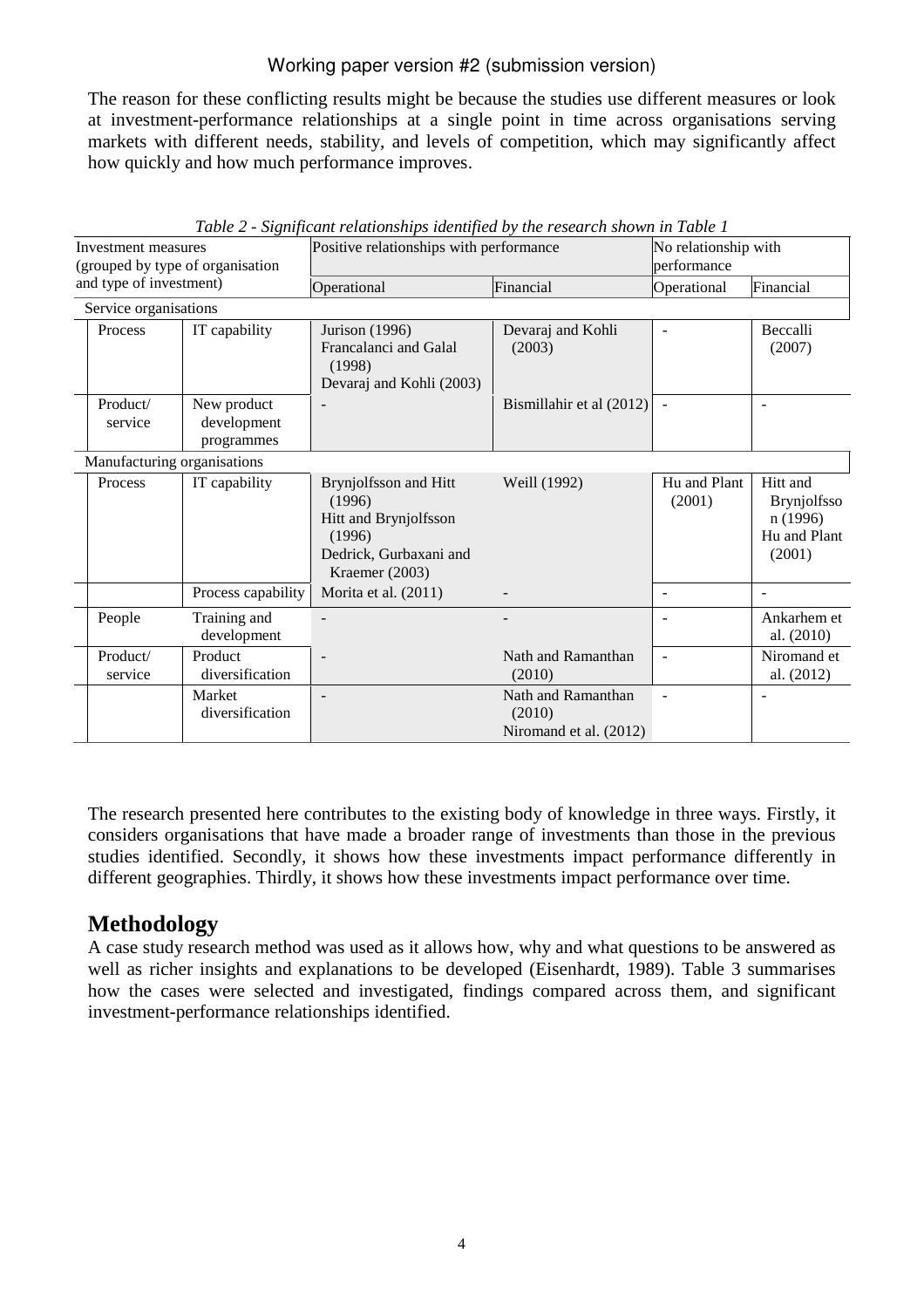The reason for these conflicting results might be because the studies use different measures or look at investment-performance relationships at a single point in time across organisations serving markets with different needs, stability, and levels of competition, which may significantly affect how quickly and how much performance improves.

| Investment measures<br>(grouped by type of organisation<br>and type of investment) |                                          | Positive relationships with performance                                                                        | No relationship with<br>performance                    |                        |                                                                      |
|------------------------------------------------------------------------------------|------------------------------------------|----------------------------------------------------------------------------------------------------------------|--------------------------------------------------------|------------------------|----------------------------------------------------------------------|
|                                                                                    |                                          | Financial<br>Operational                                                                                       |                                                        | Operational            | Financial                                                            |
| Service organisations                                                              |                                          |                                                                                                                |                                                        |                        |                                                                      |
| Process                                                                            | IT capability                            | Jurison (1996)<br>Francalanci and Galal<br>(1998)<br>Devaraj and Kohli (2003)                                  | Devaraj and Kohli<br>(2003)                            |                        | Beccalli<br>(2007)                                                   |
| Product/<br>service                                                                | New product<br>development<br>programmes |                                                                                                                | Bismillahir et al (2012)                               | $\blacksquare$         | $\blacksquare$                                                       |
| Manufacturing organisations                                                        |                                          |                                                                                                                |                                                        |                        |                                                                      |
| Process                                                                            | IT capability                            | Brynjolfsson and Hitt<br>(1996)<br>Hitt and Brynjolfsson<br>(1996)<br>Dedrick, Gurbaxani and<br>Kraemer (2003) | Weill (1992)                                           | Hu and Plant<br>(2001) | Hitt and<br><b>Bryniolfsso</b><br>n (1996)<br>Hu and Plant<br>(2001) |
|                                                                                    | Process capability                       | Morita et al. (2011)                                                                                           |                                                        |                        | $\overline{\phantom{a}}$                                             |
| People                                                                             | Training and<br>development              |                                                                                                                |                                                        |                        | Ankarhem et<br>al. $(2010)$                                          |
| Product/<br>service                                                                | Product<br>diversification               |                                                                                                                | Nath and Ramanthan<br>(2010)                           |                        | Niromand et<br>al. (2012)                                            |
|                                                                                    | Market<br>diversification                |                                                                                                                | Nath and Ramanthan<br>(2010)<br>Niromand et al. (2012) |                        |                                                                      |

*Table 2 - Significant relationships identified by the research shown in Table 1* 

The research presented here contributes to the existing body of knowledge in three ways. Firstly, it considers organisations that have made a broader range of investments than those in the previous studies identified. Secondly, it shows how these investments impact performance differently in different geographies. Thirdly, it shows how these investments impact performance over time.

#### **Methodology**

A case study research method was used as it allows how, why and what questions to be answered as well as richer insights and explanations to be developed (Eisenhardt, 1989). Table 3 summarises how the cases were selected and investigated, findings compared across them, and significant investment-performance relationships identified.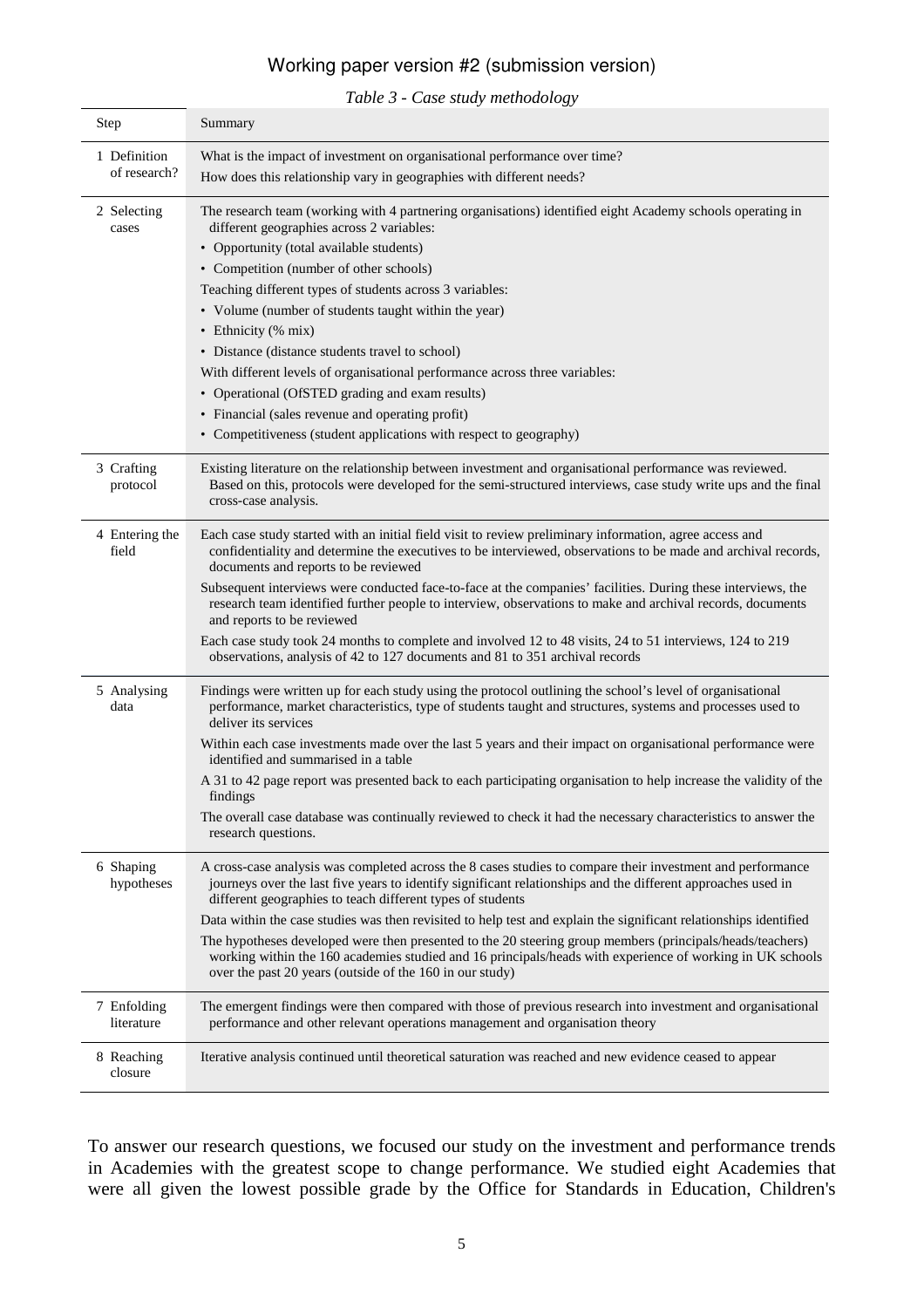*Table 3 - Case study methodology*

| Step                      | Summary                                                                                                                                                                                                                                                                                  |
|---------------------------|------------------------------------------------------------------------------------------------------------------------------------------------------------------------------------------------------------------------------------------------------------------------------------------|
| 1 Definition              | What is the impact of investment on organisational performance over time?                                                                                                                                                                                                                |
| of research?              | How does this relationship vary in geographies with different needs?                                                                                                                                                                                                                     |
| 2 Selecting               | The research team (working with 4 partnering organisations) identified eight Academy schools operating in                                                                                                                                                                                |
| cases                     | different geographies across 2 variables:<br>• Opportunity (total available students)                                                                                                                                                                                                    |
|                           | • Competition (number of other schools)                                                                                                                                                                                                                                                  |
|                           | Teaching different types of students across 3 variables:                                                                                                                                                                                                                                 |
|                           | • Volume (number of students taught within the year)                                                                                                                                                                                                                                     |
|                           | • Ethnicity (% mix)                                                                                                                                                                                                                                                                      |
|                           | • Distance (distance students travel to school)                                                                                                                                                                                                                                          |
|                           | With different levels of organisational performance across three variables:                                                                                                                                                                                                              |
|                           | • Operational (OfSTED grading and exam results)                                                                                                                                                                                                                                          |
|                           | • Financial (sales revenue and operating profit)                                                                                                                                                                                                                                         |
|                           | • Competitiveness (student applications with respect to geography)                                                                                                                                                                                                                       |
|                           |                                                                                                                                                                                                                                                                                          |
| 3 Crafting<br>protocol    | Existing literature on the relationship between investment and organisational performance was reviewed.<br>Based on this, protocols were developed for the semi-structured interviews, case study write ups and the final<br>cross-case analysis.                                        |
| 4 Entering the<br>field   | Each case study started with an initial field visit to review preliminary information, agree access and<br>confidentiality and determine the executives to be interviewed, observations to be made and archival records,<br>documents and reports to be reviewed                         |
|                           | Subsequent interviews were conducted face-to-face at the companies' facilities. During these interviews, the<br>research team identified further people to interview, observations to make and archival records, documents<br>and reports to be reviewed                                 |
|                           | Each case study took 24 months to complete and involved 12 to 48 visits, 24 to 51 interviews, 124 to 219<br>observations, analysis of 42 to 127 documents and 81 to 351 archival records                                                                                                 |
| 5 Analysing<br>data       | Findings were written up for each study using the protocol outlining the school's level of organisational<br>performance, market characteristics, type of students taught and structures, systems and processes used to<br>deliver its services                                          |
|                           | Within each case investments made over the last 5 years and their impact on organisational performance were<br>identified and summarised in a table                                                                                                                                      |
|                           | A 31 to 42 page report was presented back to each participating organisation to help increase the validity of the<br>findings                                                                                                                                                            |
|                           | The overall case database was continually reviewed to check it had the necessary characteristics to answer the<br>research questions.                                                                                                                                                    |
| 6 Shaping<br>hypotheses   | A cross-case analysis was completed across the 8 cases studies to compare their investment and performance<br>journeys over the last five years to identify significant relationships and the different approaches used in<br>different geographies to teach different types of students |
|                           | Data within the case studies was then revisited to help test and explain the significant relationships identified                                                                                                                                                                        |
|                           | The hypotheses developed were then presented to the 20 steering group members (principals/heads/teachers)<br>working within the 160 academies studied and 16 principals/heads with experience of working in UK schools<br>over the past 20 years (outside of the 160 in our study)       |
| 7 Enfolding<br>literature | The emergent findings were then compared with those of previous research into investment and organisational<br>performance and other relevant operations management and organisation theory                                                                                              |
| 8 Reaching<br>closure     | Iterative analysis continued until theoretical saturation was reached and new evidence ceased to appear                                                                                                                                                                                  |

To answer our research questions, we focused our study on the investment and performance trends in Academies with the greatest scope to change performance. We studied eight Academies that were all given the lowest possible grade by the Office for Standards in Education, Children's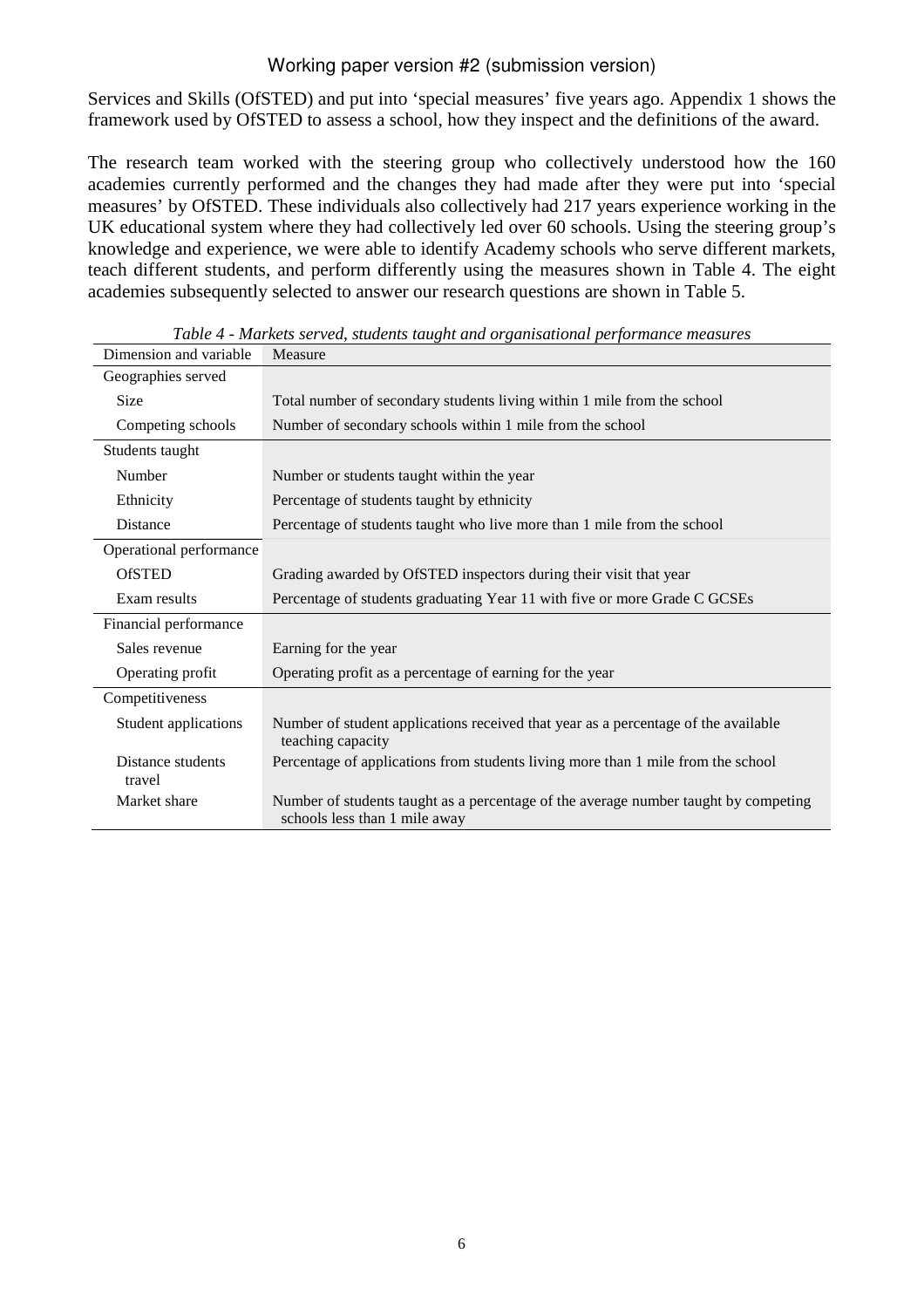Services and Skills (OfSTED) and put into 'special measures' five years ago. Appendix 1 shows the framework used by OfSTED to assess a school, how they inspect and the definitions of the award.

The research team worked with the steering group who collectively understood how the 160 academies currently performed and the changes they had made after they were put into 'special measures' by OfSTED. These individuals also collectively had 217 years experience working in the UK educational system where they had collectively led over 60 schools. Using the steering group's knowledge and experience, we were able to identify Academy schools who serve different markets, teach different students, and perform differently using the measures shown in Table 4. The eight academies subsequently selected to answer our research questions are shown in Table 5.

| Dimension and variable      | Measure                                                                                                              |
|-----------------------------|----------------------------------------------------------------------------------------------------------------------|
| Geographies served          |                                                                                                                      |
| <b>Size</b>                 | Total number of secondary students living within 1 mile from the school                                              |
| Competing schools           | Number of secondary schools within 1 mile from the school                                                            |
| Students taught             |                                                                                                                      |
| Number                      | Number or students taught within the year                                                                            |
| Ethnicity                   | Percentage of students taught by ethnicity                                                                           |
| Distance                    | Percentage of students taught who live more than 1 mile from the school                                              |
| Operational performance     |                                                                                                                      |
| <b>OfSTED</b>               | Grading awarded by OfSTED inspectors during their visit that year                                                    |
| Exam results                | Percentage of students graduating Year 11 with five or more Grade C GCSEs                                            |
| Financial performance       |                                                                                                                      |
| Sales revenue               | Earning for the year                                                                                                 |
| Operating profit            | Operating profit as a percentage of earning for the year                                                             |
| Competitiveness             |                                                                                                                      |
| Student applications        | Number of student applications received that year as a percentage of the available<br>teaching capacity              |
| Distance students<br>travel | Percentage of applications from students living more than 1 mile from the school                                     |
| Market share                | Number of students taught as a percentage of the average number taught by competing<br>schools less than 1 mile away |

*Table 4 - Markets served, students taught and organisational performance measures*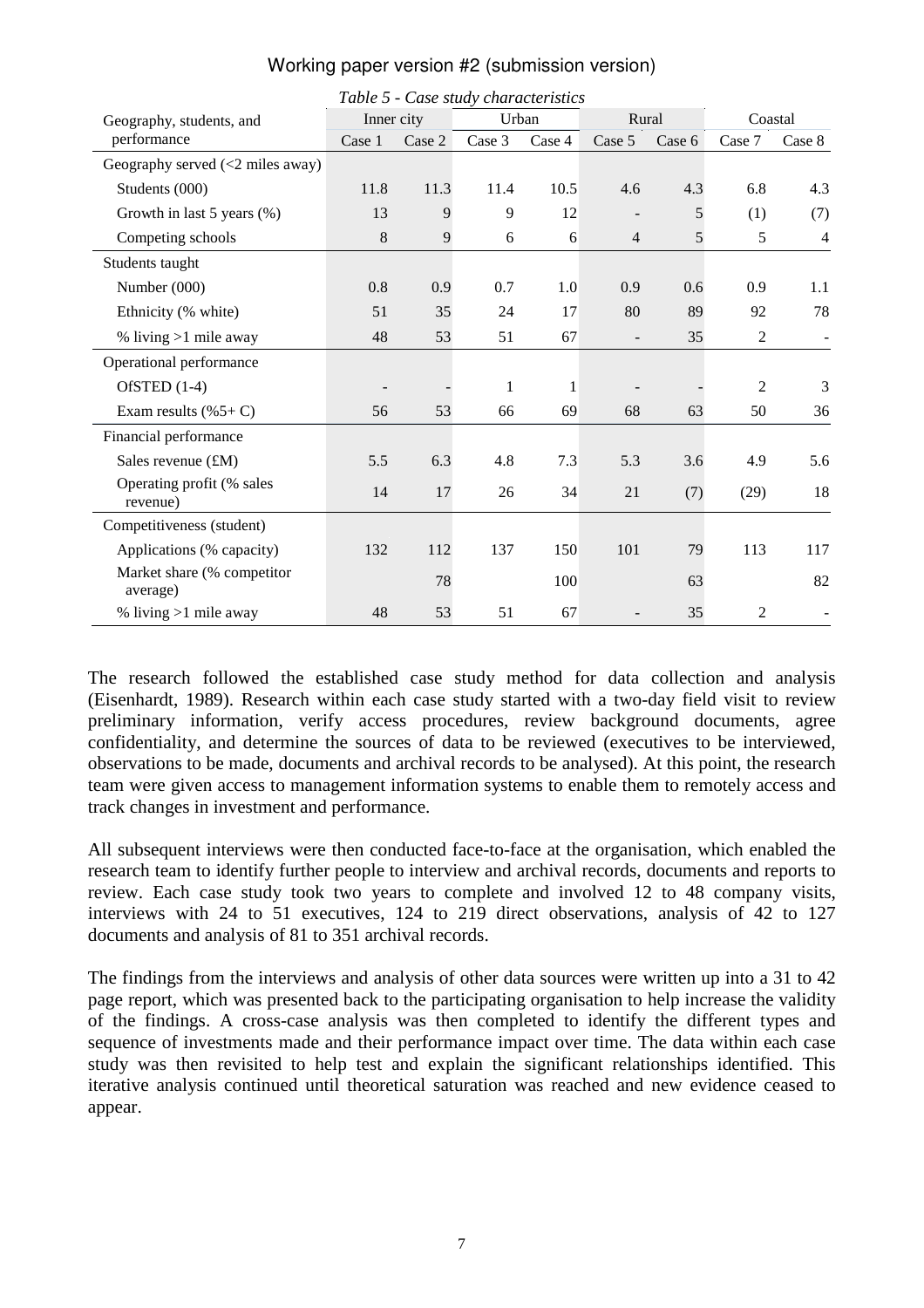| Table 5 - Case study characteristics   |            |        |              |        |                |        |                |                |  |
|----------------------------------------|------------|--------|--------------|--------|----------------|--------|----------------|----------------|--|
| Geography, students, and               | Inner city |        | Urban        |        | Rural          |        | Coastal        |                |  |
| performance                            | Case 1     | Case 2 | Case 3       | Case 4 | Case 5         | Case 6 | Case 7         | Case 8         |  |
| Geography served (<2 miles away)       |            |        |              |        |                |        |                |                |  |
| Students (000)                         | 11.8       | 11.3   | 11.4         | 10.5   | 4.6            | 4.3    | 6.8            | 4.3            |  |
| Growth in last $5$ years $(\%)$        | 13         | 9      | 9            | 12     |                | 5      | (1)            | (7)            |  |
| Competing schools                      | 8          | 9      | 6            | 6      | $\overline{4}$ | 5      | 5              | $\overline{4}$ |  |
| Students taught                        |            |        |              |        |                |        |                |                |  |
| Number (000)                           | 0.8        | 0.9    | 0.7          | 1.0    | 0.9            | 0.6    | 0.9            | 1.1            |  |
| Ethnicity (% white)                    | 51         | 35     | 24           | 17     | 80             | 89     | 92             | 78             |  |
| % living >1 mile away                  | 48         | 53     | 51           | 67     |                | 35     | $\overline{2}$ |                |  |
| Operational performance                |            |        |              |        |                |        |                |                |  |
| OfSTED $(1-4)$                         |            |        | $\mathbf{1}$ | 1      |                |        | $\mathfrak{2}$ | 3              |  |
| Exam results $(\%5 + C)$               | 56         | 53     | 66           | 69     | 68             | 63     | 50             | 36             |  |
| Financial performance                  |            |        |              |        |                |        |                |                |  |
| Sales revenue (£M)                     | 5.5        | 6.3    | 4.8          | 7.3    | 5.3            | 3.6    | 4.9            | 5.6            |  |
| Operating profit (% sales<br>revenue)  | 14         | 17     | 26           | 34     | 21             | (7)    | (29)           | 18             |  |
| Competitiveness (student)              |            |        |              |        |                |        |                |                |  |
| Applications (% capacity)              | 132        | 112    | 137          | 150    | 101            | 79     | 113            | 117            |  |
| Market share (% competitor<br>average) |            | 78     |              | 100    |                | 63     |                | 82             |  |
| % living >1 mile away                  | 48         | 53     | 51           | 67     |                | 35     | 2              |                |  |

The research followed the established case study method for data collection and analysis (Eisenhardt, 1989). Research within each case study started with a two-day field visit to review preliminary information, verify access procedures, review background documents, agree confidentiality, and determine the sources of data to be reviewed (executives to be interviewed, observations to be made, documents and archival records to be analysed). At this point, the research team were given access to management information systems to enable them to remotely access and track changes in investment and performance.

All subsequent interviews were then conducted face-to-face at the organisation, which enabled the research team to identify further people to interview and archival records, documents and reports to review. Each case study took two years to complete and involved 12 to 48 company visits, interviews with 24 to 51 executives, 124 to 219 direct observations, analysis of 42 to 127 documents and analysis of 81 to 351 archival records.

The findings from the interviews and analysis of other data sources were written up into a 31 to 42 page report, which was presented back to the participating organisation to help increase the validity of the findings. A cross-case analysis was then completed to identify the different types and sequence of investments made and their performance impact over time. The data within each case study was then revisited to help test and explain the significant relationships identified. This iterative analysis continued until theoretical saturation was reached and new evidence ceased to appear.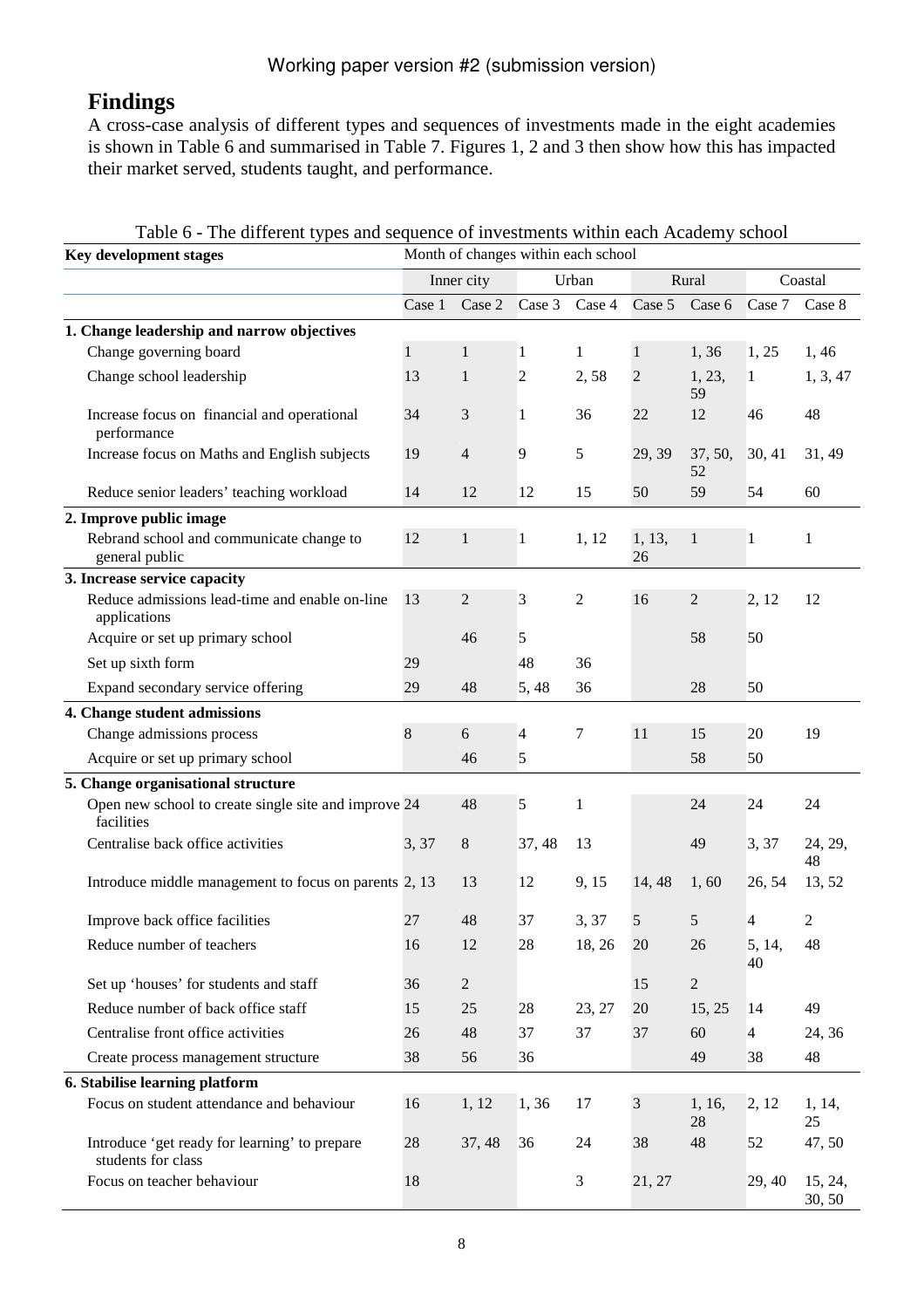# **Findings**

A cross-case analysis of different types and sequences of investments made in the eight academies is shown in Table 6 and summarised in Table 7. Figures 1, 2 and 3 then show how this has impacted their market served, students taught, and performance.

| <b>Key development stages</b>                                       | Month of changes within each school |                |                |                |                |                |                |                   |
|---------------------------------------------------------------------|-------------------------------------|----------------|----------------|----------------|----------------|----------------|----------------|-------------------|
|                                                                     | Urban<br>Inner city<br>Rural        |                |                | Coastal        |                |                |                |                   |
|                                                                     | Case 1                              | Case 2         | Case 3         | Case 4         | Case 5 Case 6  |                | Case 7         | Case 8            |
| 1. Change leadership and narrow objectives                          |                                     |                |                |                |                |                |                |                   |
| Change governing board                                              | $\mathbf{1}$                        | $\mathbf{1}$   | $\mathbf{1}$   | $\mathbf{1}$   | $\mathbf{1}$   | 1,36           | 1, 25          | 1,46              |
| Change school leadership                                            | 13                                  | $\mathbf{1}$   | 2              | 2,58           | $\mathbf{2}$   | 1, 23,<br>59   | $\mathbf{1}$   | 1, 3, 47          |
| Increase focus on financial and operational<br>performance          | 34                                  | 3              | 1              | 36             | 22             | 12             | 46             | 48                |
| Increase focus on Maths and English subjects                        | 19                                  | $\overline{4}$ | 9              | $\sqrt{5}$     | 29, 39         | 37, 50,<br>52  | 30, 41         | 31, 49            |
| Reduce senior leaders' teaching workload                            | 14                                  | 12             | 12             | 15             | 50             | 59             | 54             | 60                |
| 2. Improve public image                                             |                                     |                |                |                |                |                |                |                   |
| Rebrand school and communicate change to<br>general public          | 12                                  | $\mathbf{1}$   | $\mathbf{1}$   | 1, 12          | 1, 13,<br>26   | $\mathbf{1}$   | $\mathbf{1}$   | $\mathbf{1}$      |
| 3. Increase service capacity                                        |                                     |                |                |                |                |                |                |                   |
| Reduce admissions lead-time and enable on-line<br>applications      | 13                                  | 2              | 3              | $\overline{2}$ | 16             | $\overline{2}$ | 2, 12          | 12                |
| Acquire or set up primary school                                    |                                     | 46             | 5              |                |                | 58             | 50             |                   |
| Set up sixth form                                                   | 29                                  |                | 48             | 36             |                |                |                |                   |
| Expand secondary service offering                                   | 29                                  | 48             | 5,48           | 36             |                | 28             | 50             |                   |
| 4. Change student admissions                                        |                                     |                |                |                |                |                |                |                   |
| Change admissions process                                           | $8\phantom{.}$                      | 6              | $\overline{4}$ | 7              | 11             | 15             | 20             | 19                |
| Acquire or set up primary school                                    |                                     | 46             | 5              |                |                | 58             | 50             |                   |
| 5. Change organisational structure                                  |                                     |                |                |                |                |                |                |                   |
| Open new school to create single site and improve 24<br>facilities  |                                     | 48             | 5              | 1              |                | 24             | 24             | 24                |
| Centralise back office activities                                   | 3, 37                               | 8              | 37, 48         | 13             |                | 49             | 3, 37          | 24, 29,<br>48     |
| Introduce middle management to focus on parents 2, 13               |                                     | 13             | 12             | 9, 15          | 14, 48         | 1,60           | 26, 54         | 13, 52            |
| Improve back office facilities                                      | 27                                  | 48             | 37             | 3, 37          | 5              | 5              | 4              | $\overline{2}$    |
| Reduce number of teachers                                           | 16                                  | 12             | 28             | 18, 26         | 20             | 26             | 5, 14,<br>40   | 48                |
| Set up 'houses' for students and staff                              | 36                                  | $\overline{2}$ |                |                | 15             | $\overline{2}$ |                |                   |
| Reduce number of back office staff                                  | 15                                  | 25             | 28             | 23, 27         | 20             | 15, 25         | 14             | 49                |
| Centralise front office activities                                  | 26                                  | 48             | 37             | 37             | 37             | 60             | $\overline{4}$ | 24, 36            |
| Create process management structure                                 | 38                                  | 56             | 36             |                |                | 49             | 38             | 48                |
| 6. Stabilise learning platform                                      |                                     |                |                |                |                |                |                |                   |
| Focus on student attendance and behaviour                           | 16                                  | 1, 12          | 1,36           | 17             | $\mathfrak{Z}$ | 1, 16,<br>28   | 2, 12          | 1, 14,<br>25      |
| Introduce 'get ready for learning' to prepare<br>students for class | 28                                  | 37, 48         | 36             | 24             | 38             | 48             | 52             | 47,50             |
| Focus on teacher behaviour                                          | 18                                  |                |                | $\mathfrak{Z}$ | 21, 27         |                | 29, 40         | 15, 24,<br>30, 50 |

Table 6 - The different types and sequence of investments within each Academy school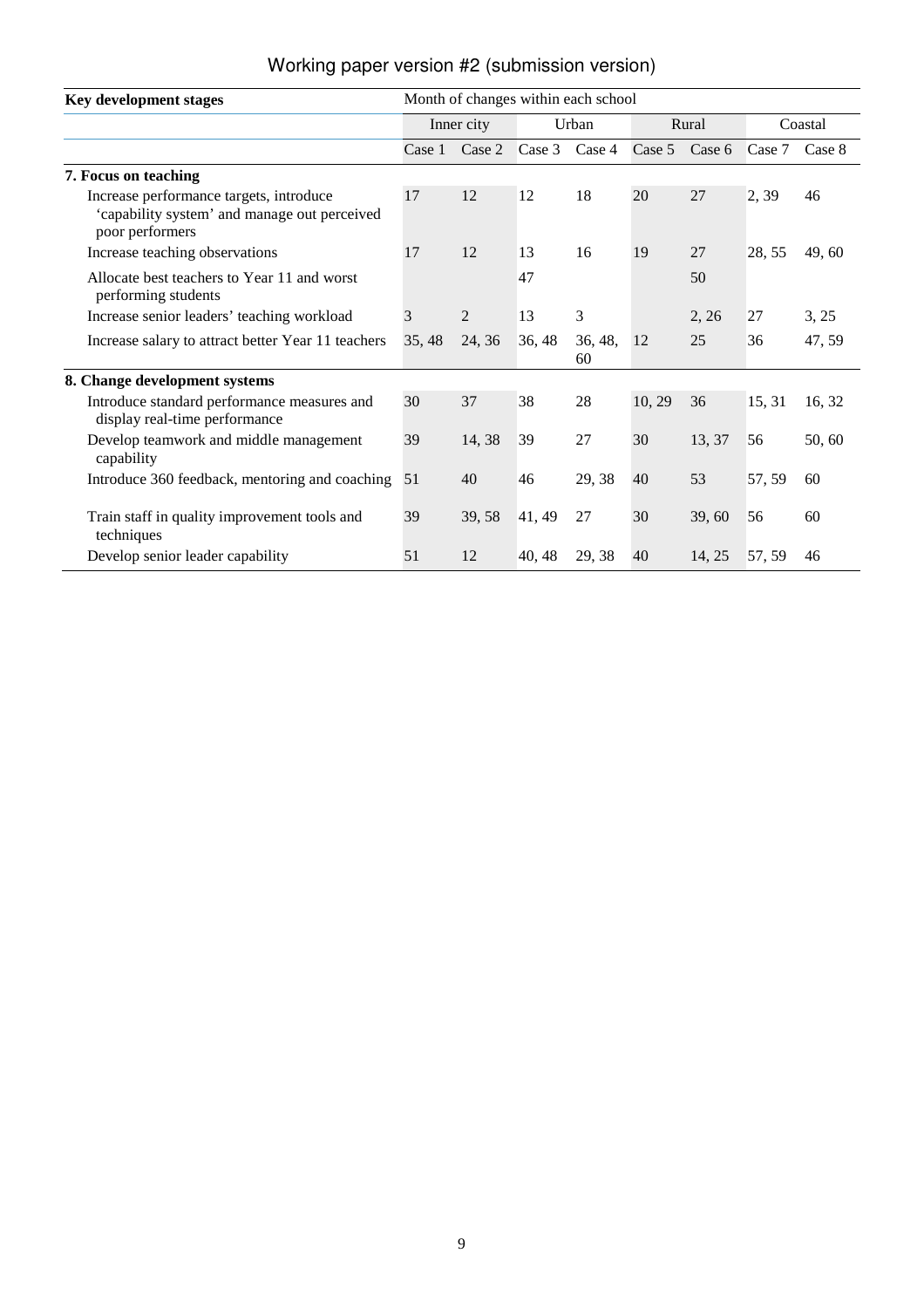| <b>Key development stages</b>                                                                              | Month of changes within each school |                |        |               |        |        |        |         |
|------------------------------------------------------------------------------------------------------------|-------------------------------------|----------------|--------|---------------|--------|--------|--------|---------|
|                                                                                                            | Inner city                          |                | Urban  |               | Rural  |        |        | Coastal |
|                                                                                                            | Case 1                              | Case 2         | Case 3 | Case 4        | Case 5 | Case 6 | Case 7 | Case 8  |
| 7. Focus on teaching                                                                                       |                                     |                |        |               |        |        |        |         |
| Increase performance targets, introduce<br>'capability system' and manage out perceived<br>poor performers | 17                                  | 12             | 12     | 18            | 20     | 27     | 2,39   | 46      |
| Increase teaching observations                                                                             | 17                                  | 12             | 13     | 16            | 19     | 27     | 28, 55 | 49,60   |
| Allocate best teachers to Year 11 and worst<br>performing students                                         |                                     |                | 47     |               |        | 50     |        |         |
| Increase senior leaders' teaching workload                                                                 | 3                                   | $\overline{2}$ | 13     | 3             |        | 2, 26  | 27     | 3, 25   |
| Increase salary to attract better Year 11 teachers                                                         | 35, 48                              | 24, 36         | 36, 48 | 36, 48,<br>60 | 12     | 25     | 36     | 47,59   |
| 8. Change development systems                                                                              |                                     |                |        |               |        |        |        |         |
| Introduce standard performance measures and<br>display real-time performance                               | 30                                  | 37             | 38     | 28            | 10, 29 | 36     | 15, 31 | 16, 32  |
| Develop teamwork and middle management<br>capability                                                       | 39                                  | 14, 38         | 39     | 27            | 30     | 13, 37 | 56     | 50, 60  |
| Introduce 360 feedback, mentoring and coaching                                                             | 51                                  | 40             | 46     | 29, 38        | 40     | 53     | 57, 59 | 60      |
| Train staff in quality improvement tools and<br>techniques                                                 | 39                                  | 39, 58         | 41, 49 | 27            | 30     | 39,60  | 56     | 60      |
| Develop senior leader capability                                                                           | 51                                  | 12             | 40, 48 | 29, 38        | 40     | 14, 25 | 57, 59 | 46      |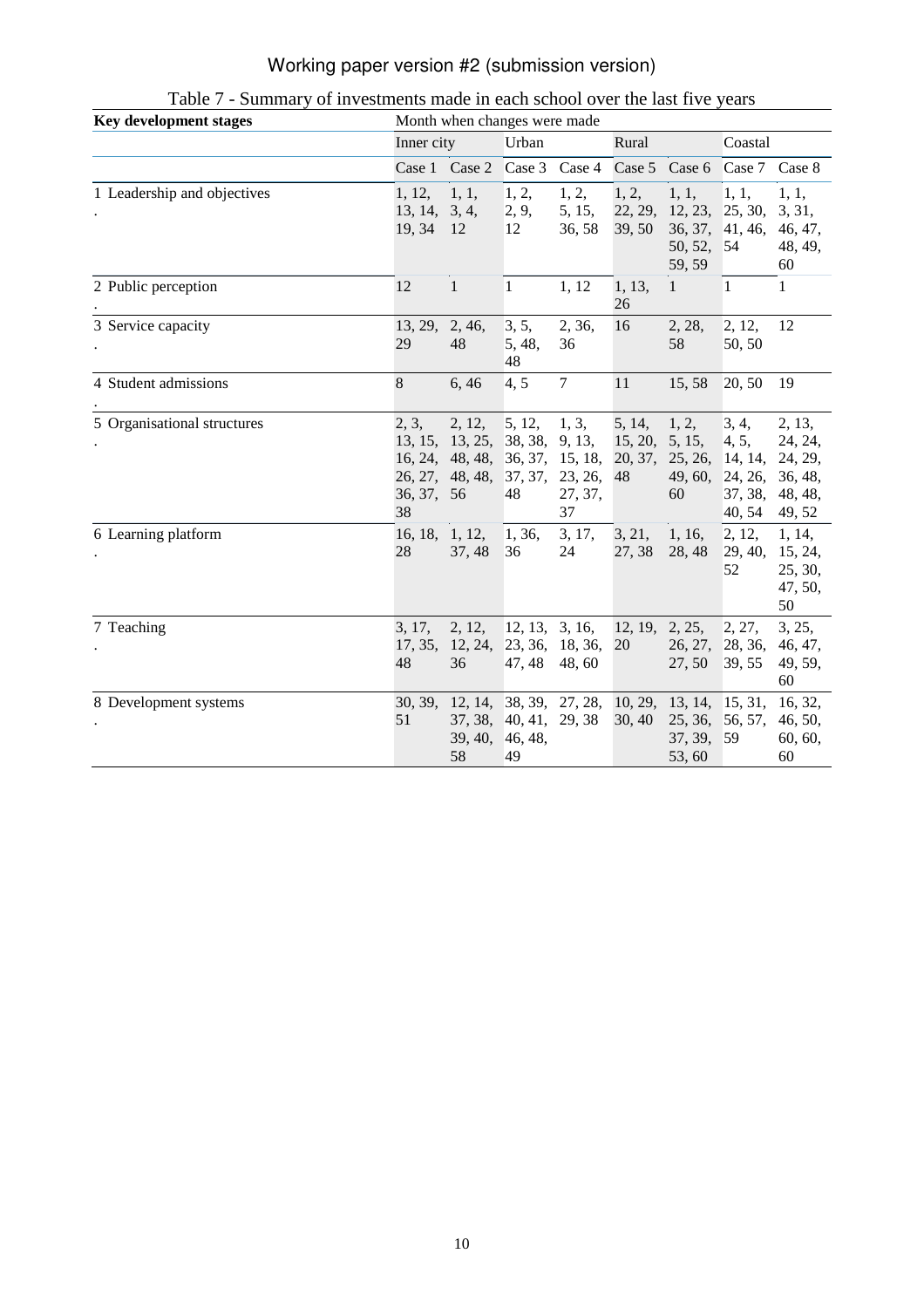| <b>Key development stages</b> | Month when changes were made.                   |                                                 |                                               |                                                        |                                    |                                                  |                                                           |                                                              |
|-------------------------------|-------------------------------------------------|-------------------------------------------------|-----------------------------------------------|--------------------------------------------------------|------------------------------------|--------------------------------------------------|-----------------------------------------------------------|--------------------------------------------------------------|
|                               | Inner city                                      |                                                 | Urban                                         |                                                        | Rural                              |                                                  | Coastal                                                   |                                                              |
|                               |                                                 | Case 1 Case 2                                   | Case 3                                        | Case 4                                                 | Case 5                             | Case 6                                           | Case 7                                                    | Case 8                                                       |
| 1 Leadership and objectives   | 1, 12,<br>13, 14, 3, 4,<br>19, 34               | 1, 1,<br>12                                     | 1, 2,<br>2, 9,<br>12                          | 1, 2,<br>5, 15,<br>36, 58                              | 1, 2,<br>22, 29,<br>39, 50         | 1, 1,<br>12, 23,<br>36, 37,<br>50, 52,<br>59, 59 | 1, 1,<br>25, 30,<br>41, 46,<br>54                         | 1, 1,<br>3, 31,<br>46, 47,<br>48, 49,<br>60                  |
| 2 Public perception           | 12                                              | $\mathbf{1}$                                    | 1                                             | 1, 12                                                  | 1, 13,<br>26                       | $\mathbf{1}$                                     | $\mathbf{1}$                                              | $\mathbf{1}$                                                 |
| 3 Service capacity            | 13, 29, 2, 46,<br>29                            | 48                                              | 3, 5,<br>5, 48,<br>48                         | 2, 36,<br>36                                           | 16                                 | 2, 28,<br>58                                     | 2, 12,<br>50, 50                                          | 12                                                           |
| 4 Student admissions          | 8                                               | 6,46                                            | 4, 5                                          | $\tau$                                                 | $11\,$                             | 15,58                                            | 20, 50                                                    | 19                                                           |
| 5 Organisational structures   | 2, 3,<br>13, 15,<br>16, 24,<br>36, 37, 56<br>38 | 2, 12,<br>13, 25,<br>48, 48,<br>26, 27, 48, 48, | 5, 12,<br>38, 38,<br>36, 37,<br>37, 37,<br>48 | 1, 3,<br>9, 13,<br>15, 18,<br>23, 26,<br>27, 37,<br>37 | 5, 14,<br>15, 20,<br>20, 37,<br>48 | 1, 2,<br>5, 15,<br>25, 26,<br>49, 60,<br>60      | 3, 4,<br>4, 5,<br>14, 14,<br>24, 26,<br>37, 38,<br>40, 54 | 2, 13,<br>24, 24,<br>24, 29,<br>36, 48,<br>48, 48,<br>49, 52 |
| 6 Learning platform           | 16, 18, 1, 12,<br>28                            | 37, 48                                          | 1, 36,<br>36                                  | 3, 17,<br>24                                           | 3, 21,<br>27, 38                   | 1, 16,<br>28, 48                                 | 2, 12,<br>29, 40,<br>52                                   | 1, 14,<br>15, 24,<br>25, 30,<br>47, 50,<br>50                |
| 7 Teaching                    | 3, 17,<br>48                                    | 2, 12,<br>17, 35, 12, 24,<br>36                 | 12, 13,<br>47, 48                             | 3, 16,<br>23, 36, 18, 36,<br>48,60                     | 12, 19, 2, 25,<br>20               | 26, 27,<br>27, 50                                | 2, 27,<br>28, 36,<br>39, 55                               | 3, 25,<br>46, 47,<br>49, 59,<br>60                           |
| 8 Development systems         | 30, 39,<br>51                                   | 12, 14,<br>37, 38,<br>39, 40,<br>58             | 40, 41, 29, 38<br>46, 48,<br>49               | 38, 39, 27, 28,                                        | 30, 40                             | 10, 29, 13, 14,<br>25, 36,<br>37, 39,<br>53,60   | 15, 31,<br>56, 57,<br>59                                  | 16, 32,<br>46, 50,<br>60, 60,<br>60                          |

# Table 7 - Summary of investments made in each school over the last five years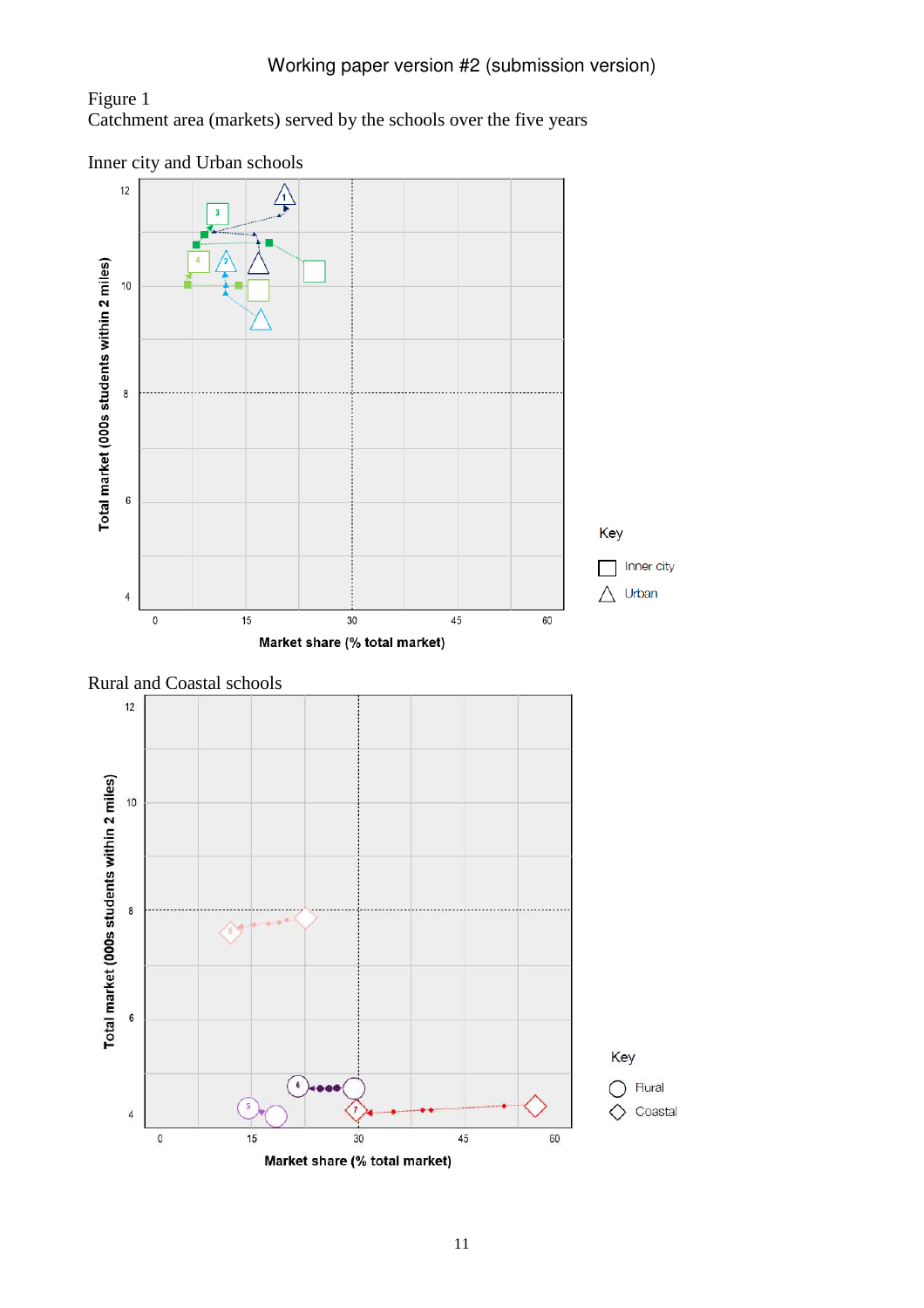#### Figure 1 Catchment area (markets) served by the schools over the five years

 $12$  $\overrightarrow{A}$  $\overline{\mathbf{3}}$ Total market (000s students within 2 miles)  $10$ 8  $\,$  6  $\,$ Key Inner city Δ Urban  $\overline{4}$  $\pmb{0}$  $15$ 30 45  $60\,$ Market share (% total market) Rural and Coastal schools  $12$ 

Inner city and Urban schools

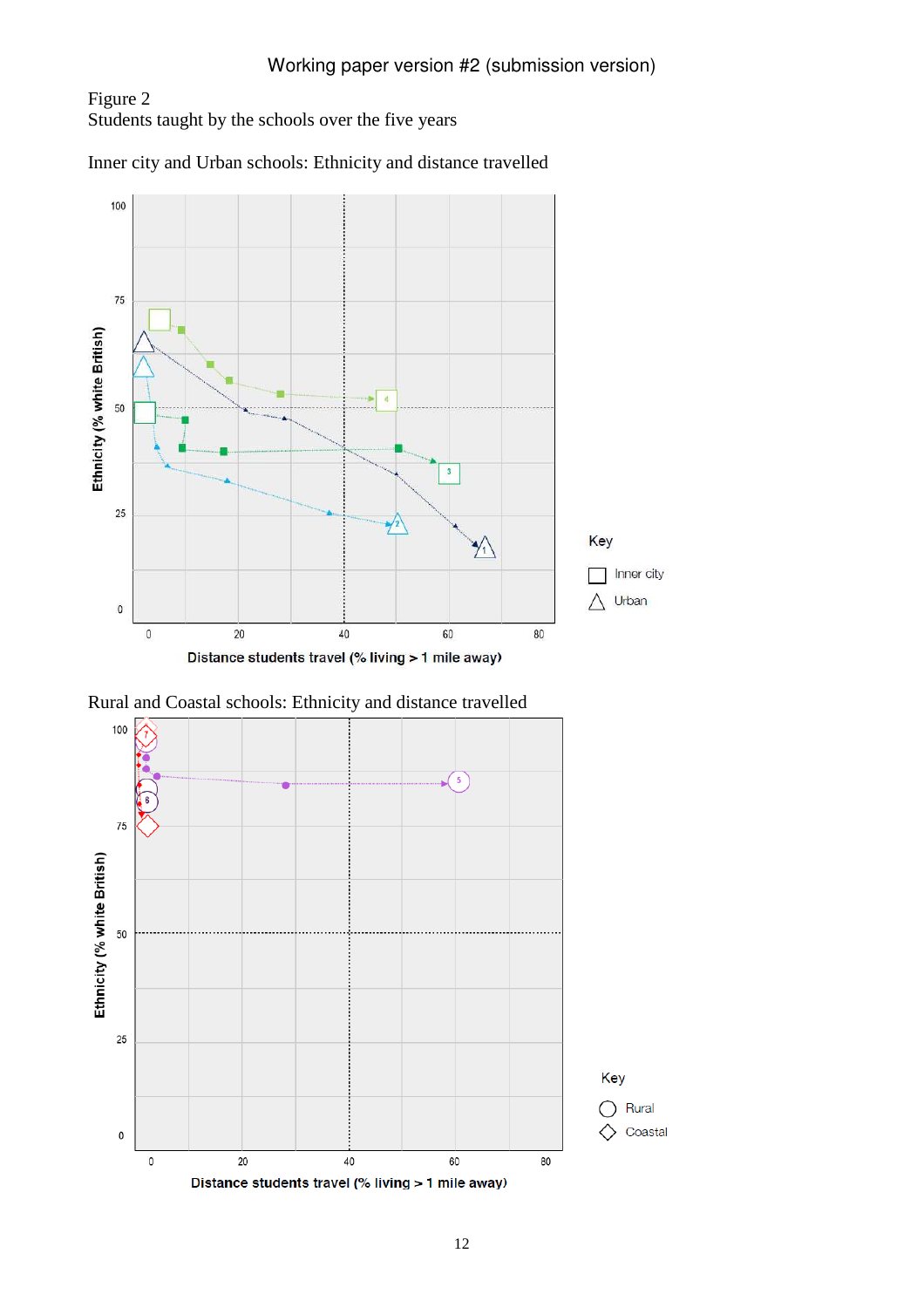#### Figure 2

Students taught by the schools over the five years





Rural and Coastal schools: Ethnicity and distance travelled

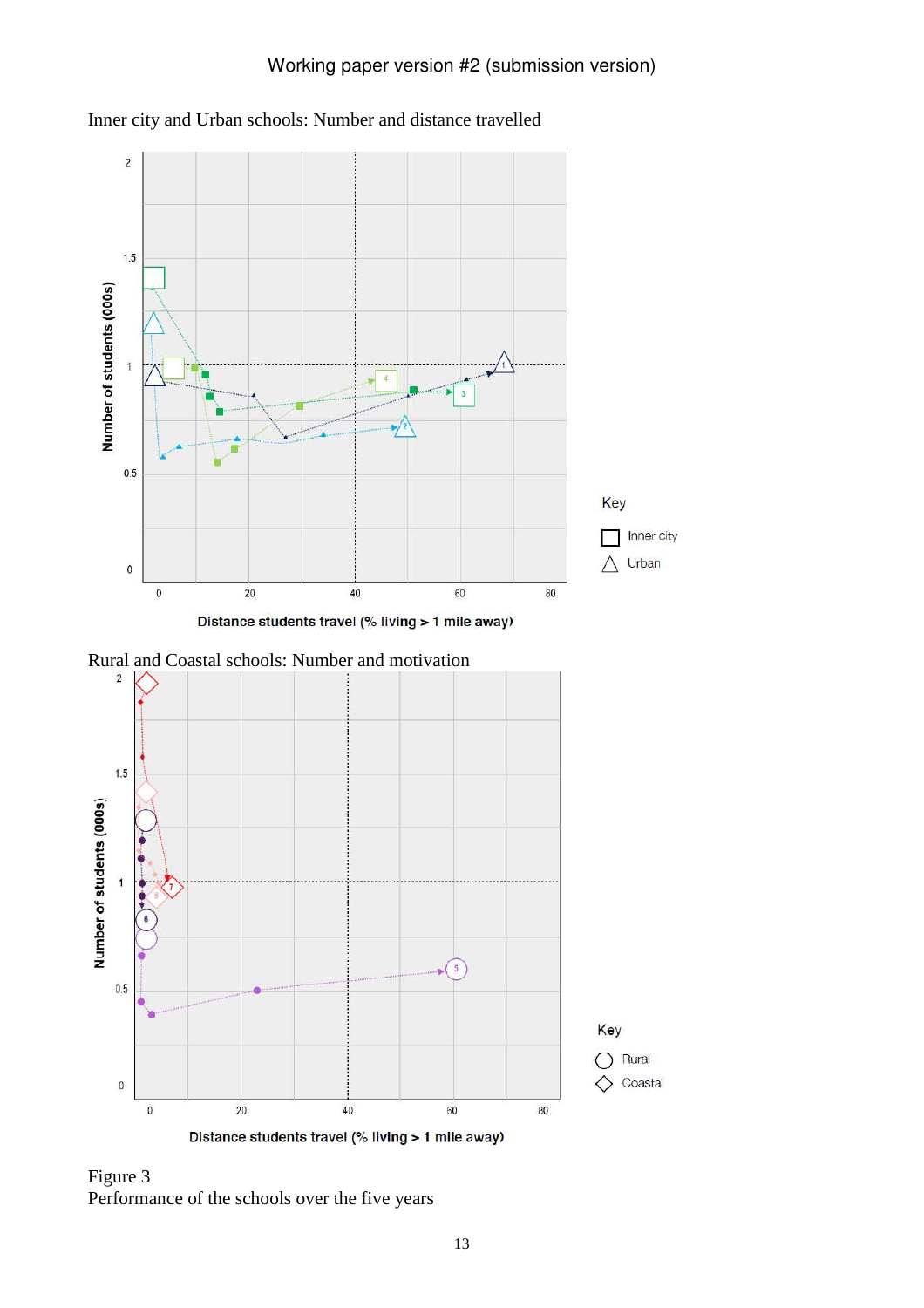





Rural and Coastal schools: Number and motivation



Figure 3 Performance of the schools over the five years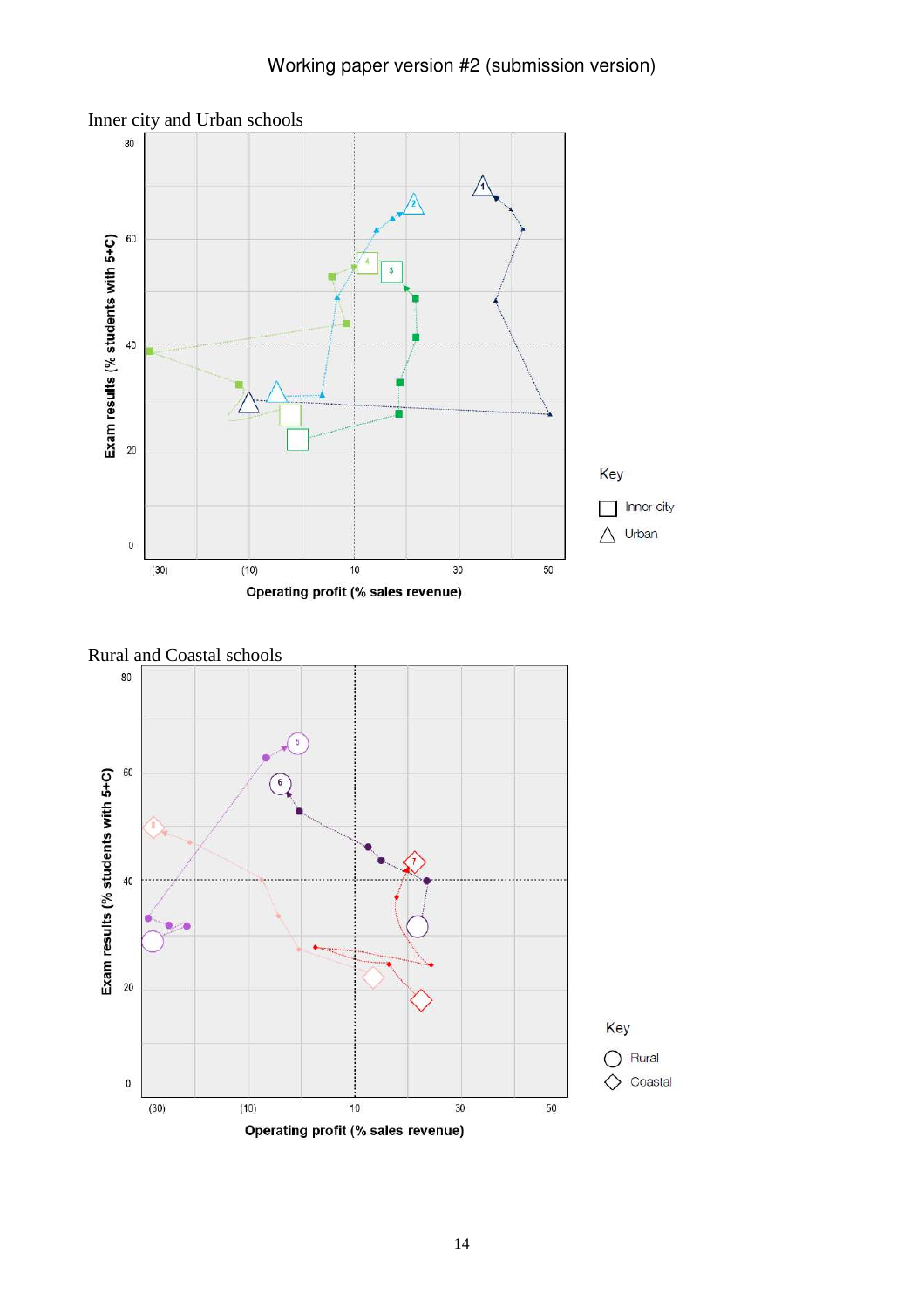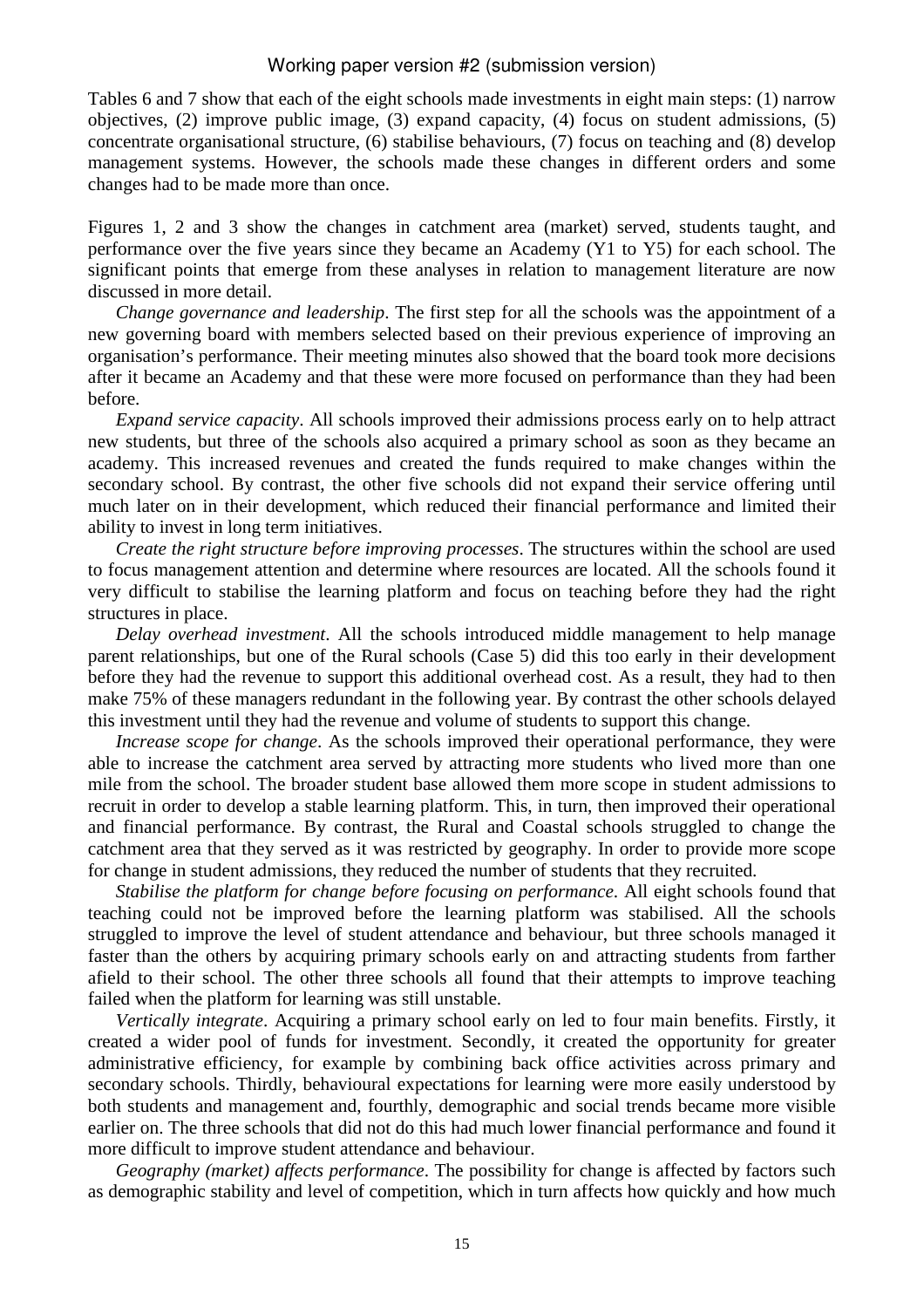Tables 6 and 7 show that each of the eight schools made investments in eight main steps: (1) narrow objectives, (2) improve public image, (3) expand capacity, (4) focus on student admissions, (5) concentrate organisational structure, (6) stabilise behaviours, (7) focus on teaching and (8) develop management systems. However, the schools made these changes in different orders and some changes had to be made more than once.

Figures 1, 2 and 3 show the changes in catchment area (market) served, students taught, and performance over the five years since they became an Academy (Y1 to Y5) for each school. The significant points that emerge from these analyses in relation to management literature are now discussed in more detail.

*Change governance and leadership*. The first step for all the schools was the appointment of a new governing board with members selected based on their previous experience of improving an organisation's performance. Their meeting minutes also showed that the board took more decisions after it became an Academy and that these were more focused on performance than they had been before.

*Expand service capacity*. All schools improved their admissions process early on to help attract new students, but three of the schools also acquired a primary school as soon as they became an academy. This increased revenues and created the funds required to make changes within the secondary school. By contrast, the other five schools did not expand their service offering until much later on in their development, which reduced their financial performance and limited their ability to invest in long term initiatives.

*Create the right structure before improving processes*. The structures within the school are used to focus management attention and determine where resources are located. All the schools found it very difficult to stabilise the learning platform and focus on teaching before they had the right structures in place.

*Delay overhead investment*. All the schools introduced middle management to help manage parent relationships, but one of the Rural schools (Case 5) did this too early in their development before they had the revenue to support this additional overhead cost. As a result, they had to then make 75% of these managers redundant in the following year. By contrast the other schools delayed this investment until they had the revenue and volume of students to support this change.

*Increase scope for change*. As the schools improved their operational performance, they were able to increase the catchment area served by attracting more students who lived more than one mile from the school. The broader student base allowed them more scope in student admissions to recruit in order to develop a stable learning platform. This, in turn, then improved their operational and financial performance. By contrast, the Rural and Coastal schools struggled to change the catchment area that they served as it was restricted by geography. In order to provide more scope for change in student admissions, they reduced the number of students that they recruited.

*Stabilise the platform for change before focusing on performance*. All eight schools found that teaching could not be improved before the learning platform was stabilised. All the schools struggled to improve the level of student attendance and behaviour, but three schools managed it faster than the others by acquiring primary schools early on and attracting students from farther afield to their school. The other three schools all found that their attempts to improve teaching failed when the platform for learning was still unstable.

*Vertically integrate*. Acquiring a primary school early on led to four main benefits. Firstly, it created a wider pool of funds for investment. Secondly, it created the opportunity for greater administrative efficiency, for example by combining back office activities across primary and secondary schools. Thirdly, behavioural expectations for learning were more easily understood by both students and management and, fourthly, demographic and social trends became more visible earlier on. The three schools that did not do this had much lower financial performance and found it more difficult to improve student attendance and behaviour.

*Geography (market) affects performance*. The possibility for change is affected by factors such as demographic stability and level of competition, which in turn affects how quickly and how much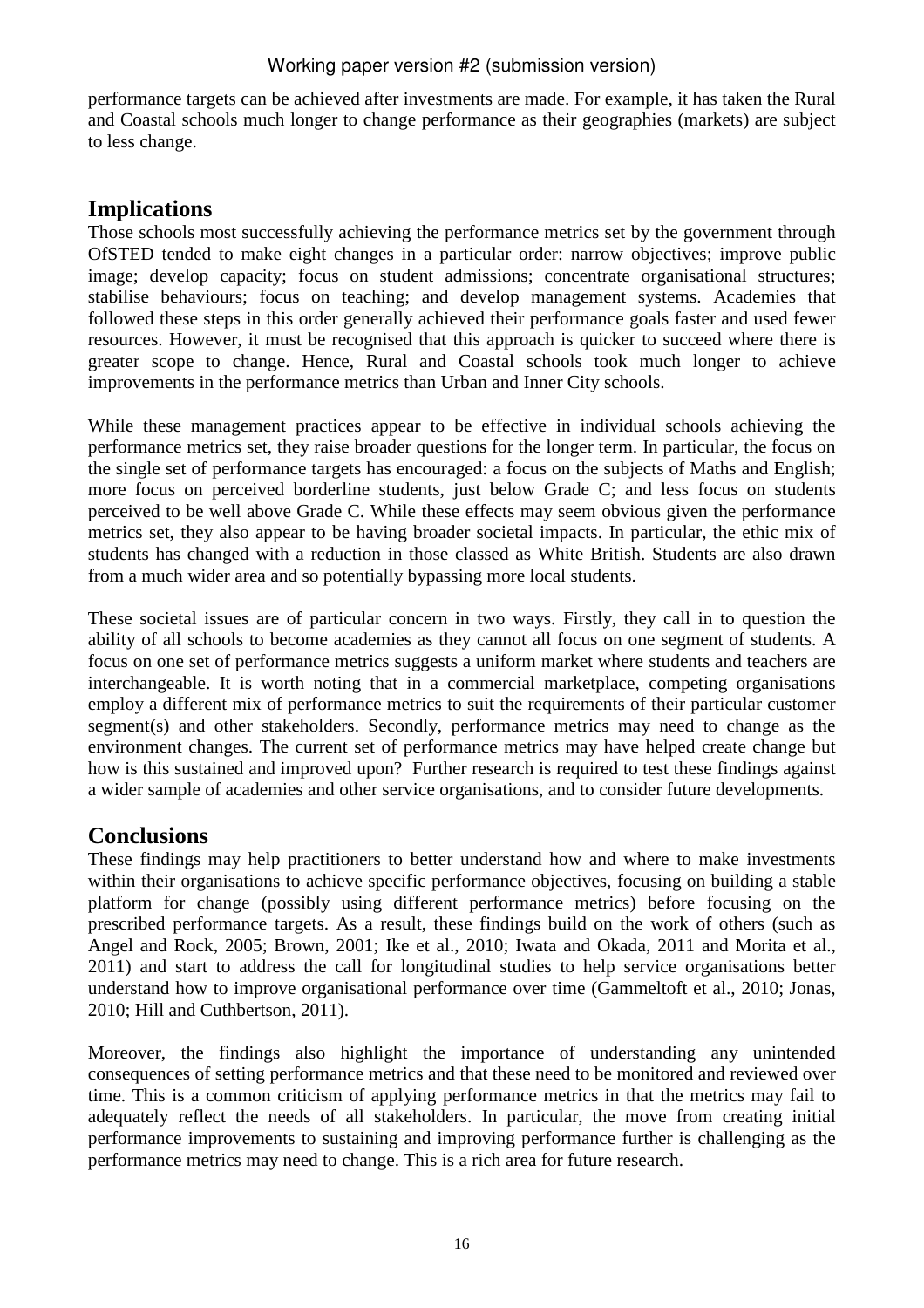performance targets can be achieved after investments are made. For example, it has taken the Rural and Coastal schools much longer to change performance as their geographies (markets) are subject to less change.

### **Implications**

Those schools most successfully achieving the performance metrics set by the government through OfSTED tended to make eight changes in a particular order: narrow objectives; improve public image; develop capacity; focus on student admissions; concentrate organisational structures; stabilise behaviours; focus on teaching; and develop management systems. Academies that followed these steps in this order generally achieved their performance goals faster and used fewer resources. However, it must be recognised that this approach is quicker to succeed where there is greater scope to change. Hence, Rural and Coastal schools took much longer to achieve improvements in the performance metrics than Urban and Inner City schools.

While these management practices appear to be effective in individual schools achieving the performance metrics set, they raise broader questions for the longer term. In particular, the focus on the single set of performance targets has encouraged: a focus on the subjects of Maths and English; more focus on perceived borderline students, just below Grade C; and less focus on students perceived to be well above Grade C. While these effects may seem obvious given the performance metrics set, they also appear to be having broader societal impacts. In particular, the ethic mix of students has changed with a reduction in those classed as White British. Students are also drawn from a much wider area and so potentially bypassing more local students.

These societal issues are of particular concern in two ways. Firstly, they call in to question the ability of all schools to become academies as they cannot all focus on one segment of students. A focus on one set of performance metrics suggests a uniform market where students and teachers are interchangeable. It is worth noting that in a commercial marketplace, competing organisations employ a different mix of performance metrics to suit the requirements of their particular customer segment(s) and other stakeholders. Secondly, performance metrics may need to change as the environment changes. The current set of performance metrics may have helped create change but how is this sustained and improved upon? Further research is required to test these findings against a wider sample of academies and other service organisations, and to consider future developments.

#### **Conclusions**

These findings may help practitioners to better understand how and where to make investments within their organisations to achieve specific performance objectives, focusing on building a stable platform for change (possibly using different performance metrics) before focusing on the prescribed performance targets. As a result, these findings build on the work of others (such as Angel and Rock, 2005; Brown, 2001; Ike et al., 2010; Iwata and Okada, 2011 and Morita et al., 2011) and start to address the call for longitudinal studies to help service organisations better understand how to improve organisational performance over time (Gammeltoft et al., 2010; Jonas, 2010; Hill and Cuthbertson, 2011).

Moreover, the findings also highlight the importance of understanding any unintended consequences of setting performance metrics and that these need to be monitored and reviewed over time. This is a common criticism of applying performance metrics in that the metrics may fail to adequately reflect the needs of all stakeholders. In particular, the move from creating initial performance improvements to sustaining and improving performance further is challenging as the performance metrics may need to change. This is a rich area for future research.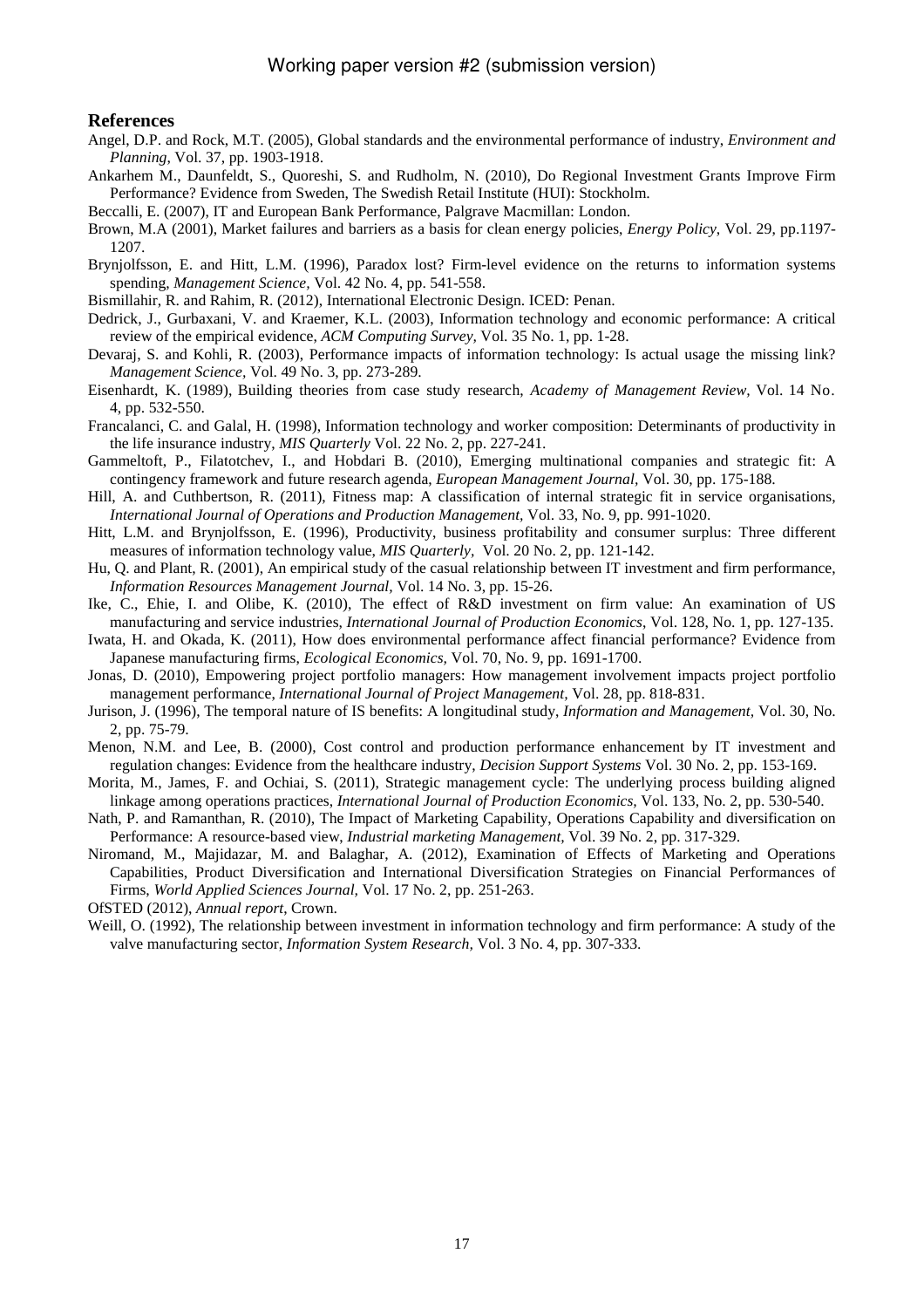#### **References**

- Angel, D.P. and Rock, M.T. (2005), Global standards and the environmental performance of industry, *Environment and Planning*, Vol. 37, pp. 1903-1918.
- Ankarhem M., Daunfeldt, S., Quoreshi, S. and Rudholm, N. (2010), Do Regional Investment Grants Improve Firm Performance? Evidence from Sweden, The Swedish Retail Institute (HUI): Stockholm.
- Beccalli, E. (2007), IT and European Bank Performance, Palgrave Macmillan: London.
- Brown, M.A (2001), Market failures and barriers as a basis for clean energy policies, *Energy Policy*, Vol. 29, pp.1197- 1207.
- Brynjolfsson, E. and Hitt, L.M. (1996), Paradox lost? Firm-level evidence on the returns to information systems spending, *Management Science,* Vol. 42 No. 4, pp. 541-558.
- Bismillahir, R. and Rahim, R. (2012), International Electronic Design. ICED: Penan.
- Dedrick, J., Gurbaxani, V. and Kraemer, K.L. (2003), Information technology and economic performance: A critical review of the empirical evidence, *ACM Computing Survey,* Vol. 35 No. 1, pp. 1-28.
- Devaraj, S. and Kohli, R. (2003), Performance impacts of information technology: Is actual usage the missing link? *Management Science,* Vol. 49 No. 3, pp. 273-289.
- Eisenhardt, K. (1989), Building theories from case study research, *Academy of Management Review,* Vol. 14 No. 4, pp. 532-550.
- Francalanci, C. and Galal, H. (1998), Information technology and worker composition: Determinants of productivity in the life insurance industry, *MIS Quarterly* Vol. 22 No. 2, pp. 227-241.
- Gammeltoft, P., Filatotchev, I., and Hobdari B. (2010), Emerging multinational companies and strategic fit: A contingency framework and future research agenda, *European Management Journal,* Vol. 30, pp. 175-188.
- Hill, A. and Cuthbertson, R. (2011), Fitness map: A classification of internal strategic fit in service organisations, *International Journal of Operations and Production Management,* Vol. 33, No. 9, pp. 991-1020.
- Hitt, L.M. and Brynjolfsson, E. (1996), Productivity, business profitability and consumer surplus: Three different measures of information technology value, *MIS Quarterly,* Vol. 20 No. 2, pp. 121-142.
- Hu, Q. and Plant, R. (2001), An empirical study of the casual relationship between IT investment and firm performance, *Information Resources Management Journal,* Vol. 14 No. 3, pp. 15-26.
- Ike, C., Ehie, I. and Olibe, K. (2010), The effect of R&D investment on firm value: An examination of US manufacturing and service industries, *International Journal of Production Economics*, Vol. 128, No. 1, pp. 127-135.
- Iwata, H. and Okada, K. (2011), How does environmental performance affect financial performance? Evidence from Japanese manufacturing firms, *Ecological Economics,* Vol. 70, No. 9, pp. 1691-1700.
- Jonas, D. (2010), Empowering project portfolio managers: How management involvement impacts project portfolio management performance, *International Journal of Project Management,* Vol. 28, pp. 818-831.
- Jurison, J. (1996), The temporal nature of IS benefits: A longitudinal study, *Information and Management,* Vol. 30, No. 2, pp. 75-79.
- Menon, N.M. and Lee, B. (2000), Cost control and production performance enhancement by IT investment and regulation changes: Evidence from the healthcare industry, *Decision Support Systems* Vol. 30 No. 2, pp. 153-169.
- Morita, M., James, F. and Ochiai, S. (2011), Strategic management cycle: The underlying process building aligned linkage among operations practices, *International Journal of Production Economics,* Vol. 133, No. 2, pp. 530-540.
- Nath, P. and Ramanthan, R. (2010), The Impact of Marketing Capability, Operations Capability and diversification on Performance: A resource-based view, *Industrial marketing Management,* Vol. 39 No. 2, pp. 317-329.
- Niromand, M., Majidazar, M. and Balaghar, A. (2012), Examination of Effects of Marketing and Operations Capabilities, Product Diversification and International Diversification Strategies on Financial Performances of Firms, *World Applied Sciences Journal,* Vol. 17 No. 2, pp. 251-263.
- OfSTED (2012), *Annual report*, Crown.
- Weill, O. (1992), The relationship between investment in information technology and firm performance: A study of the valve manufacturing sector, *Information System Research,* Vol. 3 No. 4, pp. 307-333.